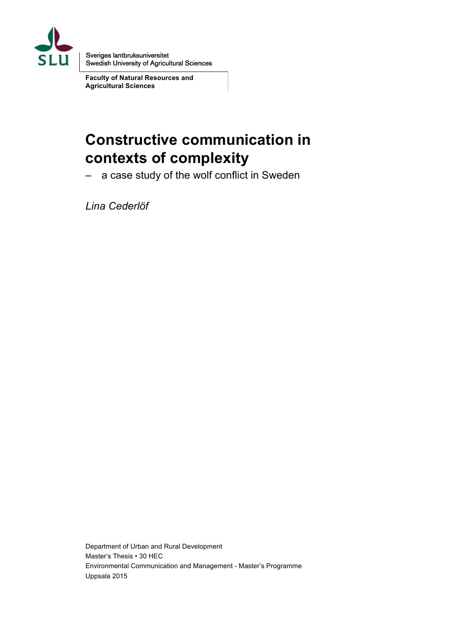

Sveriges lantbruksuniversitet<br>Swedish University of Agricultural Sciences

**Faculty of Natural Resources and Agricultural Sciences**

# **Constructive communication in contexts of complexity**

– a case study of the wolf conflict in Sweden

*Lina Cederlöf*

Department of Urban and Rural Development Master's Thesis • 30 HEC Environmental Communication and Management - Master's Programme Uppsala 2015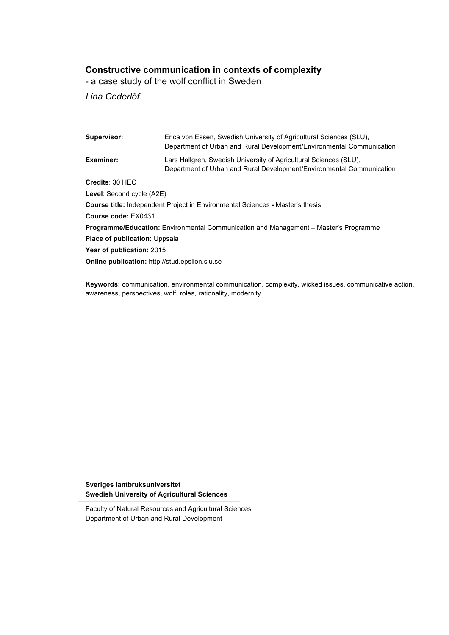## **Constructive communication in contexts of complexity**

- a case study of the wolf conflict in Sweden

*Lina Cederlöf*

| Supervisor:                                                                                 | Erica von Essen, Swedish University of Agricultural Sciences (SLU),<br>Department of Urban and Rural Development/Environmental Communication |  |  |  |
|---------------------------------------------------------------------------------------------|----------------------------------------------------------------------------------------------------------------------------------------------|--|--|--|
| Examiner:                                                                                   | Lars Hallgren, Swedish University of Agricultural Sciences (SLU).<br>Department of Urban and Rural Development/Environmental Communication   |  |  |  |
| Credits: 30 HEC                                                                             |                                                                                                                                              |  |  |  |
| <b>Level:</b> Second cycle (A2E)                                                            |                                                                                                                                              |  |  |  |
| <b>Course title:</b> Independent Project in Environmental Sciences - Master's thesis        |                                                                                                                                              |  |  |  |
| Course code: EX0431                                                                         |                                                                                                                                              |  |  |  |
| <b>Programme/Education:</b> Environmental Communication and Management – Master's Programme |                                                                                                                                              |  |  |  |
| <b>Place of publication: Uppsala</b>                                                        |                                                                                                                                              |  |  |  |
| Year of publication: 2015                                                                   |                                                                                                                                              |  |  |  |
| <b>Online publication:</b> http://stud.epsilon.slu.se                                       |                                                                                                                                              |  |  |  |
|                                                                                             |                                                                                                                                              |  |  |  |

**Keywords:** communication, environmental communication, complexity, wicked issues, communicative action, awareness, perspectives, wolf, roles, rationality, modernity

**Sveriges lantbruksuniversitet Swedish University of Agricultural Sciences**

Faculty of Natural Resources and Agricultural Sciences Department of Urban and Rural Development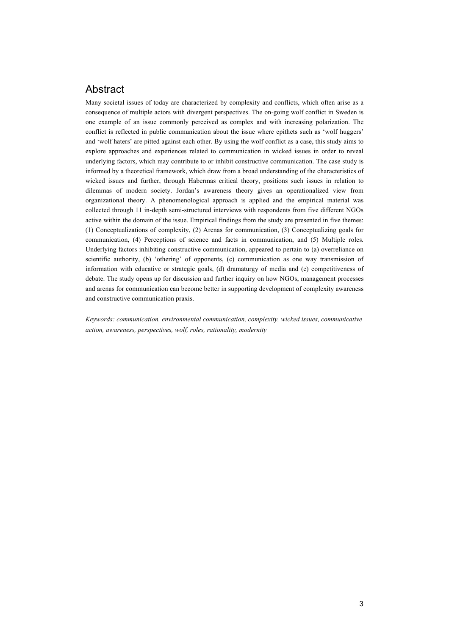## Abstract

Many societal issues of today are characterized by complexity and conflicts, which often arise as a consequence of multiple actors with divergent perspectives. The on-going wolf conflict in Sweden is one example of an issue commonly perceived as complex and with increasing polarization. The conflict is reflected in public communication about the issue where epithets such as 'wolf huggers' and 'wolf haters' are pitted against each other. By using the wolf conflict as a case, this study aims to explore approaches and experiences related to communication in wicked issues in order to reveal underlying factors, which may contribute to or inhibit constructive communication. The case study is informed by a theoretical framework, which draw from a broad understanding of the characteristics of wicked issues and further, through Habermas critical theory, positions such issues in relation to dilemmas of modern society. Jordan's awareness theory gives an operationalized view from organizational theory. A phenomenological approach is applied and the empirical material was collected through 11 in-depth semi-structured interviews with respondents from five different NGOs active within the domain of the issue. Empirical findings from the study are presented in five themes: (1) Conceptualizations of complexity, (2) Arenas for communication, (3) Conceptualizing goals for communication, (4) Perceptions of science and facts in communication, and (5) Multiple roles*.*  Underlying factors inhibiting constructive communication, appeared to pertain to (a) overreliance on scientific authority, (b) 'othering' of opponents, (c) communication as one way transmission of information with educative or strategic goals, (d) dramaturgy of media and (e) competitiveness of debate. The study opens up for discussion and further inquiry on how NGOs, management processes and arenas for communication can become better in supporting development of complexity awareness and constructive communication praxis.

*Keywords: communication, environmental communication, complexity, wicked issues, communicative action, awareness, perspectives, wolf, roles, rationality, modernity*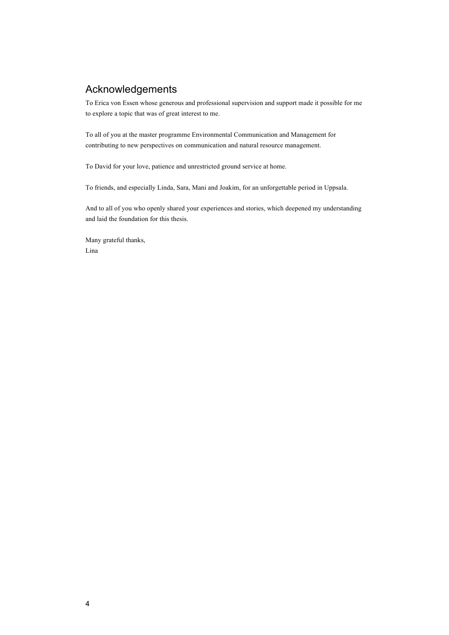## Acknowledgements

To Erica von Essen whose generous and professional supervision and support made it possible for me to explore a topic that was of great interest to me.

To all of you at the master programme Environmental Communication and Management for contributing to new perspectives on communication and natural resource management.

To David for your love, patience and unrestricted ground service at home.

To friends, and especially Linda, Sara, Mani and Joakim, for an unforgettable period in Uppsala.

And to all of you who openly shared your experiences and stories, which deepened my understanding and laid the foundation for this thesis.

Many grateful thanks, Lina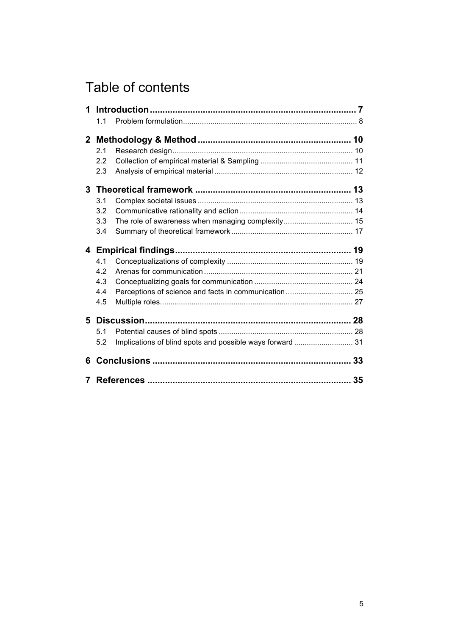# Table of contents

| 1 |     |                                                           |  |
|---|-----|-----------------------------------------------------------|--|
|   | 1.1 |                                                           |  |
|   |     |                                                           |  |
|   | 2.1 |                                                           |  |
|   | 2.2 |                                                           |  |
|   | 2.3 |                                                           |  |
|   |     |                                                           |  |
|   | 3.1 |                                                           |  |
|   | 3.2 |                                                           |  |
|   | 3.3 | The role of awareness when managing complexity 15         |  |
|   | 3.4 |                                                           |  |
|   |     |                                                           |  |
|   | 4.1 |                                                           |  |
|   | 4.2 |                                                           |  |
|   | 4.3 |                                                           |  |
|   | 4.4 |                                                           |  |
|   | 4.5 |                                                           |  |
|   |     |                                                           |  |
|   | 5.1 |                                                           |  |
|   | 5.2 | Implications of blind spots and possible ways forward  31 |  |
| 6 |     |                                                           |  |
|   |     |                                                           |  |
|   |     |                                                           |  |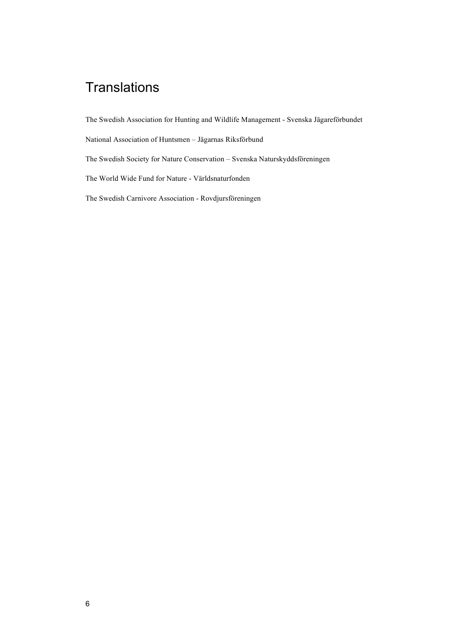# **Translations**

The Swedish Association for Hunting and Wildlife Management - Svenska Jägareförbundet

National Association of Huntsmen – Jägarnas Riksförbund

The Swedish Society for Nature Conservation – Svenska Naturskyddsföreningen

The World Wide Fund for Nature - Världsnaturfonden

The Swedish Carnivore Association - Rovdjursföreningen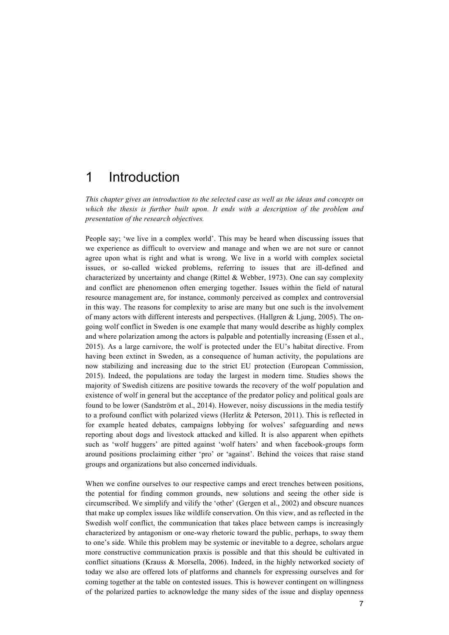## 1 Introduction

*This chapter gives an introduction to the selected case as well as the ideas and concepts on*  which the thesis is further built upon. It ends with a description of the problem and *presentation of the research objectives.*

People say; 'we live in a complex world'. This may be heard when discussing issues that we experience as difficult to overview and manage and when we are not sure or cannot agree upon what is right and what is wrong. We live in a world with complex societal issues, or so-called wicked problems, referring to issues that are ill-defined and characterized by uncertainty and change (Rittel & Webber, 1973). One can say complexity and conflict are phenomenon often emerging together. Issues within the field of natural resource management are, for instance, commonly perceived as complex and controversial in this way. The reasons for complexity to arise are many but one such is the involvement of many actors with different interests and perspectives. (Hallgren & Ljung, 2005). The ongoing wolf conflict in Sweden is one example that many would describe as highly complex and where polarization among the actors is palpable and potentially increasing (Essen et al., 2015). As a large carnivore, the wolf is protected under the EU's habitat directive. From having been extinct in Sweden, as a consequence of human activity, the populations are now stabilizing and increasing due to the strict EU protection (European Commission, 2015). Indeed, the populations are today the largest in modern time. Studies shows the majority of Swedish citizens are positive towards the recovery of the wolf population and existence of wolf in general but the acceptance of the predator policy and political goals are found to be lower (Sandström et al., 2014). However, noisy discussions in the media testify to a profound conflict with polarized views (Herlitz & Peterson, 2011). This is reflected in for example heated debates, campaigns lobbying for wolves' safeguarding and news reporting about dogs and livestock attacked and killed. It is also apparent when epithets such as 'wolf huggers' are pitted against 'wolf haters' and when facebook-groups form around positions proclaiming either 'pro' or 'against'. Behind the voices that raise stand groups and organizations but also concerned individuals.

When we confine ourselves to our respective camps and erect trenches between positions, the potential for finding common grounds, new solutions and seeing the other side is circumscribed. We simplify and vilify the 'other' (Gergen et al., 2002) and obscure nuances that make up complex issues like wildlife conservation. On this view, and as reflected in the Swedish wolf conflict, the communication that takes place between camps is increasingly characterized by antagonism or one-way rhetoric toward the public, perhaps, to sway them to one's side. While this problem may be systemic or inevitable to a degree, scholars argue more constructive communication praxis is possible and that this should be cultivated in conflict situations (Krauss & Morsella, 2006). Indeed, in the highly networked society of today we also are offered lots of platforms and channels for expressing ourselves and for coming together at the table on contested issues. This is however contingent on willingness of the polarized parties to acknowledge the many sides of the issue and display openness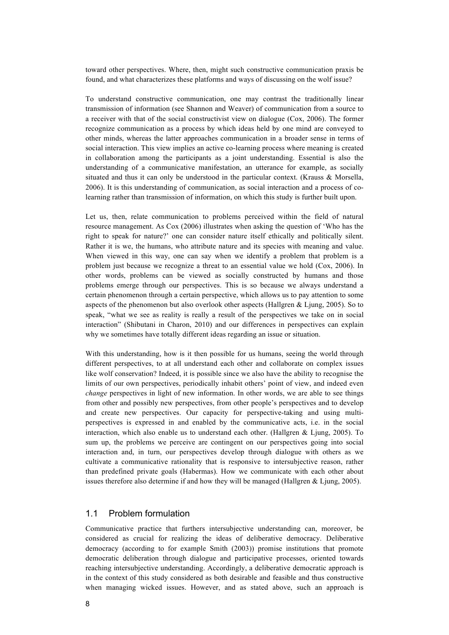toward other perspectives. Where, then, might such constructive communication praxis be found, and what characterizes these platforms and ways of discussing on the wolf issue?

To understand constructive communication, one may contrast the traditionally linear transmission of information (see Shannon and Weaver) of communication from a source to a receiver with that of the social constructivist view on dialogue (Cox, 2006). The former recognize communication as a process by which ideas held by one mind are conveyed to other minds, whereas the latter approaches communication in a broader sense in terms of social interaction. This view implies an active co-learning process where meaning is created in collaboration among the participants as a joint understanding. Essential is also the understanding of a communicative manifestation, an utterance for example, as socially situated and thus it can only be understood in the particular context. (Krauss & Morsella, 2006). It is this understanding of communication, as social interaction and a process of colearning rather than transmission of information, on which this study is further built upon.

Let us, then, relate communication to problems perceived within the field of natural resource management. As Cox (2006) illustrates when asking the question of 'Who has the right to speak for nature?' one can consider nature itself ethically and politically silent. Rather it is we, the humans, who attribute nature and its species with meaning and value. When viewed in this way, one can say when we identify a problem that problem is a problem just because we recognize a threat to an essential value we hold (Cox, 2006). In other words, problems can be viewed as socially constructed by humans and those problems emerge through our perspectives. This is so because we always understand a certain phenomenon through a certain perspective, which allows us to pay attention to some aspects of the phenomenon but also overlook other aspects (Hallgren & Ljung, 2005). So to speak, "what we see as reality is really a result of the perspectives we take on in social interaction" (Shibutani in Charon, 2010) and our differences in perspectives can explain why we sometimes have totally different ideas regarding an issue or situation.

With this understanding, how is it then possible for us humans, seeing the world through different perspectives, to at all understand each other and collaborate on complex issues like wolf conservation? Indeed, it is possible since we also have the ability to recognise the limits of our own perspectives, periodically inhabit others' point of view, and indeed even *change* perspectives in light of new information. In other words, we are able to see things from other and possibly new perspectives, from other people's perspectives and to develop and create new perspectives. Our capacity for perspective-taking and using multiperspectives is expressed in and enabled by the communicative acts, i.e. in the social interaction, which also enable us to understand each other. (Hallgren & Ljung, 2005). To sum up, the problems we perceive are contingent on our perspectives going into social interaction and, in turn, our perspectives develop through dialogue with others as we cultivate a communicative rationality that is responsive to intersubjective reason, rather than predefined private goals (Habermas). How we communicate with each other about issues therefore also determine if and how they will be managed (Hallgren & Ljung, 2005).

#### 1.1 Problem formulation

Communicative practice that furthers intersubjective understanding can, moreover, be considered as crucial for realizing the ideas of deliberative democracy. Deliberative democracy (according to for example Smith (2003)) promise institutions that promote democratic deliberation through dialogue and participative processes, oriented towards reaching intersubjective understanding. Accordingly, a deliberative democratic approach is in the context of this study considered as both desirable and feasible and thus constructive when managing wicked issues. However, and as stated above, such an approach is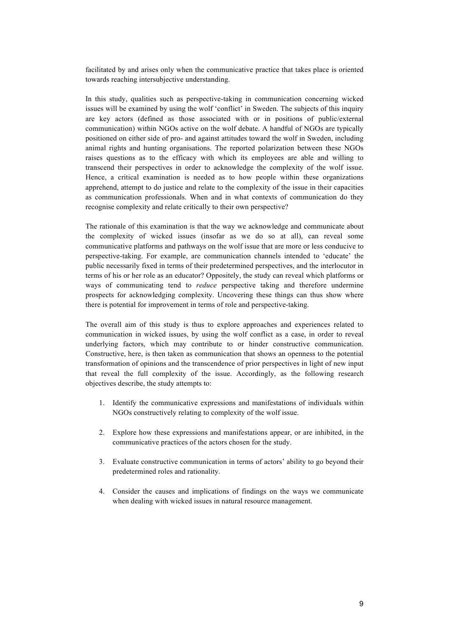facilitated by and arises only when the communicative practice that takes place is oriented towards reaching intersubjective understanding.

In this study, qualities such as perspective-taking in communication concerning wicked issues will be examined by using the wolf 'conflict' in Sweden. The subjects of this inquiry are key actors (defined as those associated with or in positions of public/external communication) within NGOs active on the wolf debate. A handful of NGOs are typically positioned on either side of pro- and against attitudes toward the wolf in Sweden, including animal rights and hunting organisations. The reported polarization between these NGOs raises questions as to the efficacy with which its employees are able and willing to transcend their perspectives in order to acknowledge the complexity of the wolf issue. Hence, a critical examination is needed as to how people within these organizations apprehend, attempt to do justice and relate to the complexity of the issue in their capacities as communication professionals. When and in what contexts of communication do they recognise complexity and relate critically to their own perspective?

The rationale of this examination is that the way we acknowledge and communicate about the complexity of wicked issues (insofar as we do so at all), can reveal some communicative platforms and pathways on the wolf issue that are more or less conducive to perspective-taking. For example, are communication channels intended to 'educate' the public necessarily fixed in terms of their predetermined perspectives, and the interlocutor in terms of his or her role as an educator? Oppositely, the study can reveal which platforms or ways of communicating tend to *reduce* perspective taking and therefore undermine prospects for acknowledging complexity. Uncovering these things can thus show where there is potential for improvement in terms of role and perspective-taking.

The overall aim of this study is thus to explore approaches and experiences related to communication in wicked issues, by using the wolf conflict as a case, in order to reveal underlying factors, which may contribute to or hinder constructive communication. Constructive, here, is then taken as communication that shows an openness to the potential transformation of opinions and the transcendence of prior perspectives in light of new input that reveal the full complexity of the issue. Accordingly, as the following research objectives describe, the study attempts to:

- 1. Identify the communicative expressions and manifestations of individuals within NGOs constructively relating to complexity of the wolf issue.
- 2. Explore how these expressions and manifestations appear, or are inhibited, in the communicative practices of the actors chosen for the study.
- 3. Evaluate constructive communication in terms of actors' ability to go beyond their predetermined roles and rationality.
- 4. Consider the causes and implications of findings on the ways we communicate when dealing with wicked issues in natural resource management.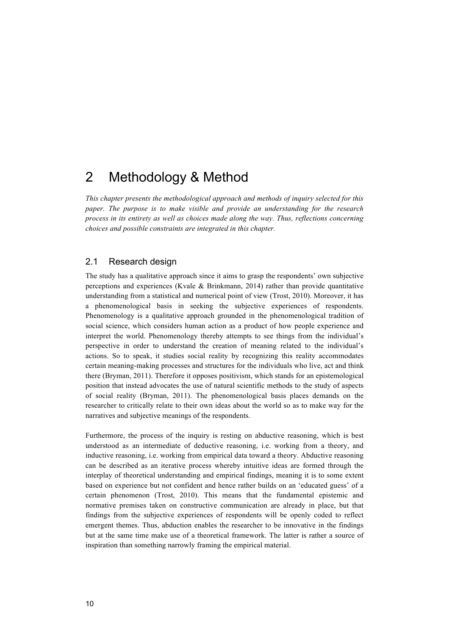## 2 Methodology & Method

*This chapter presents the methodological approach and methods of inquiry selected for this paper. The purpose is to make visible and provide an understanding for the research process in its entirety as well as choices made along the way. Thus, reflections concerning choices and possible constraints are integrated in this chapter.* 

## 2.1 Research design

The study has a qualitative approach since it aims to grasp the respondents' own subjective perceptions and experiences (Kvale  $\&$  Brinkmann, 2014) rather than provide quantitative understanding from a statistical and numerical point of view (Trost, 2010). Moreover, it has a phenomenological basis in seeking the subjective experiences of respondents. Phenomenology is a qualitative approach grounded in the phenomenological tradition of social science, which considers human action as a product of how people experience and interpret the world. Phenomenology thereby attempts to see things from the individual's perspective in order to understand the creation of meaning related to the individual's actions. So to speak, it studies social reality by recognizing this reality accommodates certain meaning-making processes and structures for the individuals who live, act and think there (Bryman, 2011). Therefore it opposes positivism, which stands for an epistemological position that instead advocates the use of natural scientific methods to the study of aspects of social reality (Bryman, 2011). The phenomenological basis places demands on the researcher to critically relate to their own ideas about the world so as to make way for the narratives and subjective meanings of the respondents.

Furthermore, the process of the inquiry is resting on abductive reasoning, which is best understood as an intermediate of deductive reasoning, i.e. working from a theory, and inductive reasoning, i.e. working from empirical data toward a theory. Abductive reasoning can be described as an iterative process whereby intuitive ideas are formed through the interplay of theoretical understanding and empirical findings, meaning it is to some extent based on experience but not confident and hence rather builds on an 'educated guess' of a certain phenomenon (Trost, 2010). This means that the fundamental epistemic and normative premises taken on constructive communication are already in place, but that findings from the subjective experiences of respondents will be openly coded to reflect emergent themes. Thus, abduction enables the researcher to be innovative in the findings but at the same time make use of a theoretical framework. The latter is rather a source of inspiration than something narrowly framing the empirical material.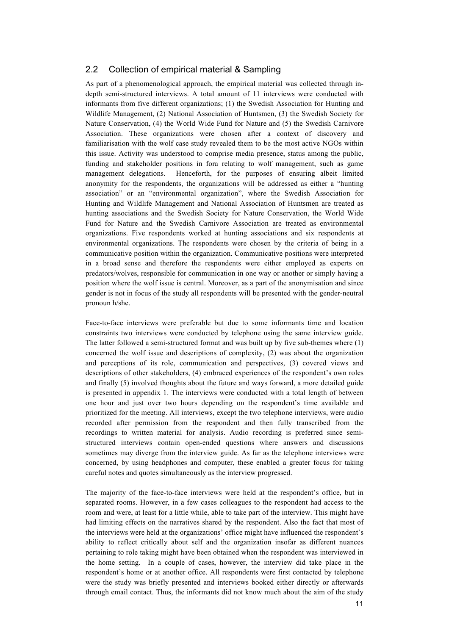## 2.2 Collection of empirical material & Sampling

As part of a phenomenological approach, the empirical material was collected through indepth semi-structured interviews. A total amount of 11 interviews were conducted with informants from five different organizations; (1) the Swedish Association for Hunting and Wildlife Management, (2) National Association of Huntsmen, (3) the Swedish Society for Nature Conservation, (4) the World Wide Fund for Nature and (5) the Swedish Carnivore Association. These organizations were chosen after a context of discovery and familiarisation with the wolf case study revealed them to be the most active NGOs within this issue. Activity was understood to comprise media presence, status among the public, funding and stakeholder positions in fora relating to wolf management, such as game management delegations. Henceforth, for the purposes of ensuring albeit limited anonymity for the respondents, the organizations will be addressed as either a "hunting association" or an "environmental organization", where the Swedish Association for Hunting and Wildlife Management and National Association of Huntsmen are treated as hunting associations and the Swedish Society for Nature Conservation, the World Wide Fund for Nature and the Swedish Carnivore Association are treated as environmental organizations. Five respondents worked at hunting associations and six respondents at environmental organizations. The respondents were chosen by the criteria of being in a communicative position within the organization. Communicative positions were interpreted in a broad sense and therefore the respondents were either employed as experts on predators/wolves, responsible for communication in one way or another or simply having a position where the wolf issue is central. Moreover, as a part of the anonymisation and since gender is not in focus of the study all respondents will be presented with the gender-neutral pronoun h/she.

Face-to-face interviews were preferable but due to some informants time and location constraints two interviews were conducted by telephone using the same interview guide. The latter followed a semi-structured format and was built up by five sub-themes where (1) concerned the wolf issue and descriptions of complexity, (2) was about the organization and perceptions of its role, communication and perspectives, (3) covered views and descriptions of other stakeholders, (4) embraced experiences of the respondent's own roles and finally (5) involved thoughts about the future and ways forward, a more detailed guide is presented in appendix 1. The interviews were conducted with a total length of between one hour and just over two hours depending on the respondent's time available and prioritized for the meeting. All interviews, except the two telephone interviews, were audio recorded after permission from the respondent and then fully transcribed from the recordings to written material for analysis. Audio recording is preferred since semistructured interviews contain open-ended questions where answers and discussions sometimes may diverge from the interview guide. As far as the telephone interviews were concerned, by using headphones and computer, these enabled a greater focus for taking careful notes and quotes simultaneously as the interview progressed.

The majority of the face-to-face interviews were held at the respondent's office, but in separated rooms. However, in a few cases colleagues to the respondent had access to the room and were, at least for a little while, able to take part of the interview. This might have had limiting effects on the narratives shared by the respondent. Also the fact that most of the interviews were held at the organizations' office might have influenced the respondent's ability to reflect critically about self and the organization insofar as different nuances pertaining to role taking might have been obtained when the respondent was interviewed in the home setting. In a couple of cases, however, the interview did take place in the respondent's home or at another office. All respondents were first contacted by telephone were the study was briefly presented and interviews booked either directly or afterwards through email contact. Thus, the informants did not know much about the aim of the study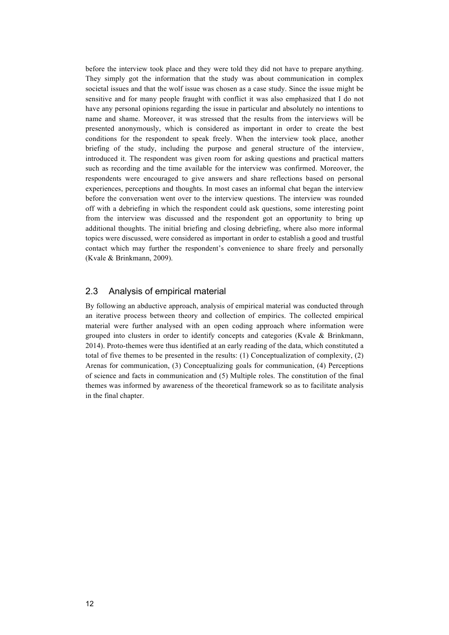before the interview took place and they were told they did not have to prepare anything. They simply got the information that the study was about communication in complex societal issues and that the wolf issue was chosen as a case study. Since the issue might be sensitive and for many people fraught with conflict it was also emphasized that I do not have any personal opinions regarding the issue in particular and absolutely no intentions to name and shame. Moreover, it was stressed that the results from the interviews will be presented anonymously, which is considered as important in order to create the best conditions for the respondent to speak freely. When the interview took place, another briefing of the study, including the purpose and general structure of the interview, introduced it. The respondent was given room for asking questions and practical matters such as recording and the time available for the interview was confirmed. Moreover, the respondents were encouraged to give answers and share reflections based on personal experiences, perceptions and thoughts. In most cases an informal chat began the interview before the conversation went over to the interview questions. The interview was rounded off with a debriefing in which the respondent could ask questions, some interesting point from the interview was discussed and the respondent got an opportunity to bring up additional thoughts. The initial briefing and closing debriefing, where also more informal topics were discussed, were considered as important in order to establish a good and trustful contact which may further the respondent's convenience to share freely and personally (Kvale & Brinkmann, 2009).

### 2.3 Analysis of empirical material

By following an abductive approach, analysis of empirical material was conducted through an iterative process between theory and collection of empirics. The collected empirical material were further analysed with an open coding approach where information were grouped into clusters in order to identify concepts and categories (Kvale & Brinkmann, 2014). Proto-themes were thus identified at an early reading of the data, which constituted a total of five themes to be presented in the results: (1) Conceptualization of complexity, (2) Arenas for communication, (3) Conceptualizing goals for communication, (4) Perceptions of science and facts in communication and (5) Multiple roles. The constitution of the final themes was informed by awareness of the theoretical framework so as to facilitate analysis in the final chapter.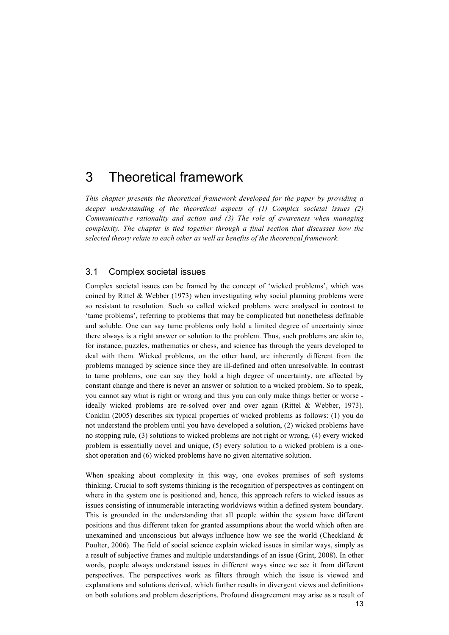## 3 Theoretical framework

*This chapter presents the theoretical framework developed for the paper by providing a deeper understanding of the theoretical aspects of (1) Complex societal issues (2) Communicative rationality and action and (3) The role of awareness when managing complexity. The chapter is tied together through a final section that discusses how the selected theory relate to each other as well as benefits of the theoretical framework.* 

### 3.1 Complex societal issues

Complex societal issues can be framed by the concept of 'wicked problems', which was coined by Rittel & Webber (1973) when investigating why social planning problems were so resistant to resolution. Such so called wicked problems were analysed in contrast to 'tame problems', referring to problems that may be complicated but nonetheless definable and soluble. One can say tame problems only hold a limited degree of uncertainty since there always is a right answer or solution to the problem. Thus, such problems are akin to, for instance, puzzles, mathematics or chess, and science has through the years developed to deal with them. Wicked problems, on the other hand, are inherently different from the problems managed by science since they are ill-defined and often unresolvable. In contrast to tame problems, one can say they hold a high degree of uncertainty, are affected by constant change and there is never an answer or solution to a wicked problem. So to speak, you cannot say what is right or wrong and thus you can only make things better or worse ideally wicked problems are re-solved over and over again (Rittel & Webber, 1973). Conklin (2005) describes six typical properties of wicked problems as follows: (1) you do not understand the problem until you have developed a solution, (2) wicked problems have no stopping rule, (3) solutions to wicked problems are not right or wrong, (4) every wicked problem is essentially novel and unique, (5) every solution to a wicked problem is a oneshot operation and (6) wicked problems have no given alternative solution.

13 When speaking about complexity in this way, one evokes premises of soft systems thinking. Crucial to soft systems thinking is the recognition of perspectives as contingent on where in the system one is positioned and, hence, this approach refers to wicked issues as issues consisting of innumerable interacting worldviews within a defined system boundary. This is grounded in the understanding that all people within the system have different positions and thus different taken for granted assumptions about the world which often are unexamined and unconscious but always influence how we see the world (Checkland  $\&$ Poulter, 2006). The field of social science explain wicked issues in similar ways, simply as a result of subjective frames and multiple understandings of an issue (Grint, 2008). In other words, people always understand issues in different ways since we see it from different perspectives. The perspectives work as filters through which the issue is viewed and explanations and solutions derived, which further results in divergent views and definitions on both solutions and problem descriptions. Profound disagreement may arise as a result of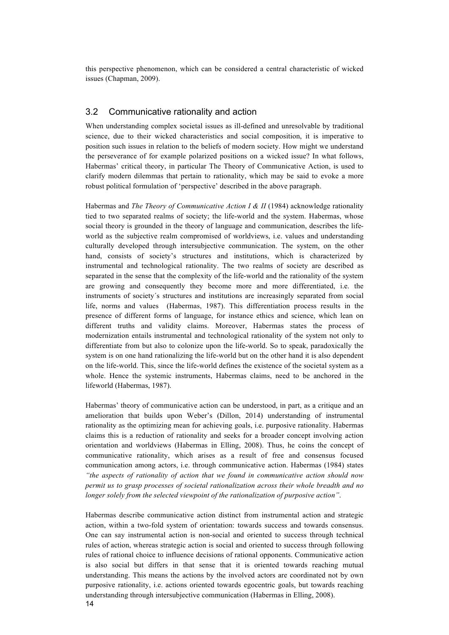this perspective phenomenon, which can be considered a central characteristic of wicked issues (Chapman, 2009).

### 3.2 Communicative rationality and action

When understanding complex societal issues as ill-defined and unresolvable by traditional science, due to their wicked characteristics and social composition, it is imperative to position such issues in relation to the beliefs of modern society. How might we understand the perseverance of for example polarized positions on a wicked issue? In what follows, Habermas' critical theory, in particular The Theory of Communicative Action, is used to clarify modern dilemmas that pertain to rationality, which may be said to evoke a more robust political formulation of 'perspective' described in the above paragraph.

Habermas and *The Theory of Communicative Action I & II* (1984) acknowledge rationality tied to two separated realms of society; the life-world and the system. Habermas, whose social theory is grounded in the theory of language and communication, describes the lifeworld as the subjective realm compromised of worldviews, i.e. values and understanding culturally developed through intersubjective communication. The system, on the other hand, consists of society's structures and institutions, which is characterized by instrumental and technological rationality. The two realms of society are described as separated in the sense that the complexity of the life-world and the rationality of the system are growing and consequently they become more and more differentiated, i.e. the instruments of society´s structures and institutions are increasingly separated from social life, norms and values (Habermas, 1987). This differentiation process results in the presence of different forms of language, for instance ethics and science, which lean on different truths and validity claims. Moreover, Habermas states the process of modernization entails instrumental and technological rationality of the system not only to differentiate from but also to colonize upon the life-world. So to speak, paradoxically the system is on one hand rationalizing the life-world but on the other hand it is also dependent on the life-world. This, since the life-world defines the existence of the societal system as a whole. Hence the systemic instruments, Habermas claims, need to be anchored in the lifeworld (Habermas, 1987).

Habermas' theory of communicative action can be understood, in part, as a critique and an amelioration that builds upon Weber's (Dillon, 2014) understanding of instrumental rationality as the optimizing mean for achieving goals, i.e. purposive rationality. Habermas claims this is a reduction of rationality and seeks for a broader concept involving action orientation and worldviews (Habermas in Elling, 2008). Thus, he coins the concept of communicative rationality, which arises as a result of free and consensus focused communication among actors, i.e. through communicative action. Habermas (1984) states *"the aspects of rationality of action that we found in communicative action should now permit us to grasp processes of societal rationalization across their whole breadth and no longer solely from the selected viewpoint of the rationalization of purposive action"*.

Habermas describe communicative action distinct from instrumental action and strategic action, within a two-fold system of orientation: towards success and towards consensus. One can say instrumental action is non-social and oriented to success through technical rules of action, whereas strategic action is social and oriented to success through following rules of rational choice to influence decisions of rational opponents. Communicative action is also social but differs in that sense that it is oriented towards reaching mutual understanding. This means the actions by the involved actors are coordinated not by own purposive rationality, i.e. actions oriented towards egocentric goals, but towards reaching understanding through intersubjective communication (Habermas in Elling, 2008).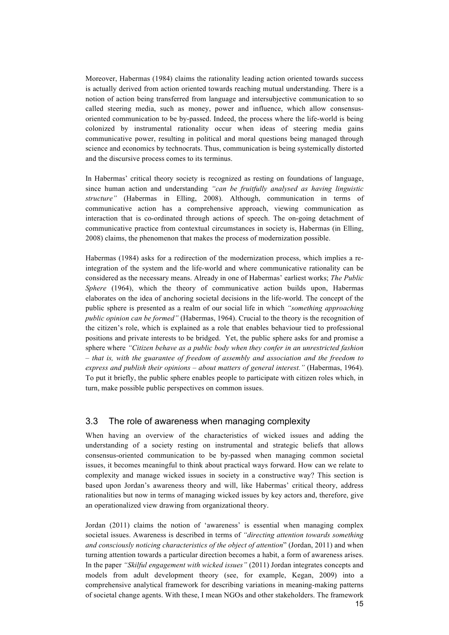Moreover, Habermas (1984) claims the rationality leading action oriented towards success is actually derived from action oriented towards reaching mutual understanding. There is a notion of action being transferred from language and intersubjective communication to so called steering media, such as money, power and influence, which allow consensusoriented communication to be by-passed. Indeed, the process where the life-world is being colonized by instrumental rationality occur when ideas of steering media gains communicative power, resulting in political and moral questions being managed through science and economics by technocrats. Thus, communication is being systemically distorted and the discursive process comes to its terminus.

In Habermas' critical theory society is recognized as resting on foundations of language, since human action and understanding *"can be fruitfully analysed as having linguistic structure"* (Habermas in Elling, 2008). Although, communication in terms of communicative action has a comprehensive approach, viewing communication as interaction that is co-ordinated through actions of speech. The on-going detachment of communicative practice from contextual circumstances in society is, Habermas (in Elling, 2008) claims, the phenomenon that makes the process of modernization possible.

Habermas (1984) asks for a redirection of the modernization process, which implies a reintegration of the system and the life-world and where communicative rationality can be considered as the necessary means. Already in one of Habermas' earliest works; *The Public Sphere* (1964), which the theory of communicative action builds upon, Habermas elaborates on the idea of anchoring societal decisions in the life-world. The concept of the public sphere is presented as a realm of our social life in which *"something approaching public opinion can be formed"* (Habermas, 1964). Crucial to the theory is the recognition of the citizen's role, which is explained as a role that enables behaviour tied to professional positions and private interests to be bridged. Yet, the public sphere asks for and promise a sphere where *"Citizen behave as a public body when they confer in an unrestricted fashion – that is, with the guarantee of freedom of assembly and association and the freedom to express and publish their opinions – about matters of general interest."* (Habermas, 1964). To put it briefly, the public sphere enables people to participate with citizen roles which, in turn, make possible public perspectives on common issues.

### 3.3 The role of awareness when managing complexity

When having an overview of the characteristics of wicked issues and adding the understanding of a society resting on instrumental and strategic beliefs that allows consensus-oriented communication to be by-passed when managing common societal issues, it becomes meaningful to think about practical ways forward. How can we relate to complexity and manage wicked issues in society in a constructive way? This section is based upon Jordan's awareness theory and will, like Habermas' critical theory, address rationalities but now in terms of managing wicked issues by key actors and, therefore, give an operationalized view drawing from organizational theory.

15 Jordan (2011) claims the notion of 'awareness' is essential when managing complex societal issues. Awareness is described in terms of *"directing attention towards something and consciously noticing characteristics of the object of attention*" (Jordan, 2011) and when turning attention towards a particular direction becomes a habit, a form of awareness arises. In the paper *"Skilful engagement with wicked issues"* (2011) Jordan integrates concepts and models from adult development theory (see, for example, Kegan, 2009) into a comprehensive analytical framework for describing variations in meaning-making patterns of societal change agents. With these, I mean NGOs and other stakeholders. The framework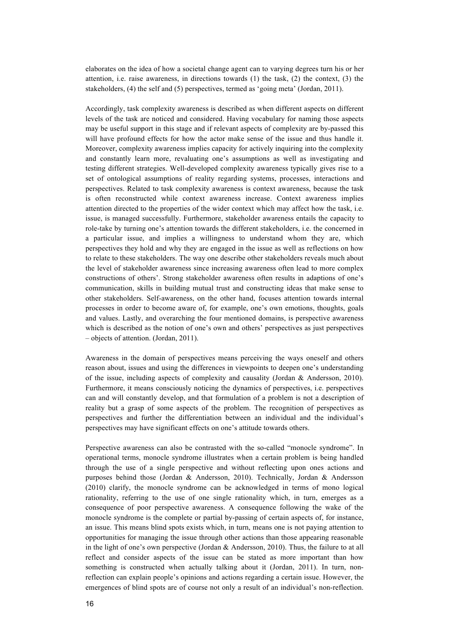elaborates on the idea of how a societal change agent can to varying degrees turn his or her attention, i.e. raise awareness, in directions towards (1) the task, (2) the context, (3) the stakeholders, (4) the self and (5) perspectives, termed as 'going meta' (Jordan, 2011).

Accordingly, task complexity awareness is described as when different aspects on different levels of the task are noticed and considered. Having vocabulary for naming those aspects may be useful support in this stage and if relevant aspects of complexity are by-passed this will have profound effects for how the actor make sense of the issue and thus handle it. Moreover, complexity awareness implies capacity for actively inquiring into the complexity and constantly learn more, revaluating one's assumptions as well as investigating and testing different strategies. Well-developed complexity awareness typically gives rise to a set of ontological assumptions of reality regarding systems, processes, interactions and perspectives. Related to task complexity awareness is context awareness, because the task is often reconstructed while context awareness increase. Context awareness implies attention directed to the properties of the wider context which may affect how the task, i.e. issue, is managed successfully. Furthermore, stakeholder awareness entails the capacity to role-take by turning one's attention towards the different stakeholders, i.e. the concerned in a particular issue, and implies a willingness to understand whom they are, which perspectives they hold and why they are engaged in the issue as well as reflections on how to relate to these stakeholders. The way one describe other stakeholders reveals much about the level of stakeholder awareness since increasing awareness often lead to more complex constructions of others'. Strong stakeholder awareness often results in adaptions of one's communication, skills in building mutual trust and constructing ideas that make sense to other stakeholders. Self-awareness, on the other hand, focuses attention towards internal processes in order to become aware of, for example, one's own emotions, thoughts, goals and values. Lastly, and overarching the four mentioned domains, is perspective awareness which is described as the notion of one's own and others' perspectives as just perspectives – objects of attention. (Jordan, 2011).

Awareness in the domain of perspectives means perceiving the ways oneself and others reason about, issues and using the differences in viewpoints to deepen one's understanding of the issue, including aspects of complexity and causality (Jordan & Andersson, 2010). Furthermore, it means consciously noticing the dynamics of perspectives, i.e. perspectives can and will constantly develop, and that formulation of a problem is not a description of reality but a grasp of some aspects of the problem. The recognition of perspectives as perspectives and further the differentiation between an individual and the individual's perspectives may have significant effects on one's attitude towards others.

Perspective awareness can also be contrasted with the so-called "monocle syndrome". In operational terms, monocle syndrome illustrates when a certain problem is being handled through the use of a single perspective and without reflecting upon ones actions and purposes behind those (Jordan & Andersson, 2010). Technically, Jordan & Andersson (2010) clarify, the monocle syndrome can be acknowledged in terms of mono logical rationality, referring to the use of one single rationality which, in turn, emerges as a consequence of poor perspective awareness. A consequence following the wake of the monocle syndrome is the complete or partial by-passing of certain aspects of, for instance, an issue. This means blind spots exists which, in turn, means one is not paying attention to opportunities for managing the issue through other actions than those appearing reasonable in the light of one's own perspective (Jordan & Andersson, 2010). Thus, the failure to at all reflect and consider aspects of the issue can be stated as more important than how something is constructed when actually talking about it (Jordan, 2011). In turn, nonreflection can explain people's opinions and actions regarding a certain issue. However, the emergences of blind spots are of course not only a result of an individual's non-reflection.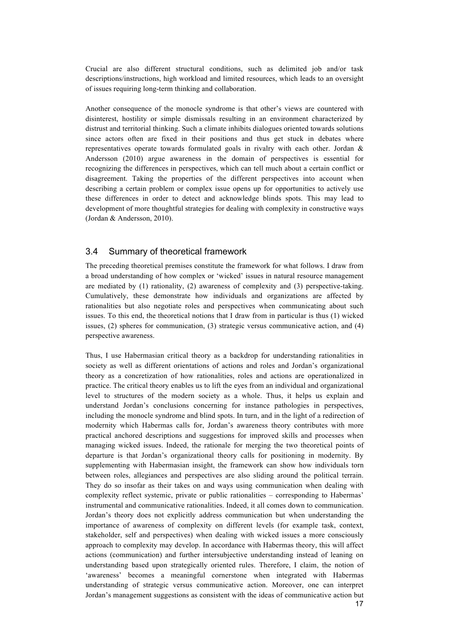Crucial are also different structural conditions, such as delimited job and/or task descriptions/instructions, high workload and limited resources, which leads to an oversight of issues requiring long-term thinking and collaboration.

Another consequence of the monocle syndrome is that other's views are countered with disinterest, hostility or simple dismissals resulting in an environment characterized by distrust and territorial thinking. Such a climate inhibits dialogues oriented towards solutions since actors often are fixed in their positions and thus get stuck in debates where representatives operate towards formulated goals in rivalry with each other. Jordan & Andersson (2010) argue awareness in the domain of perspectives is essential for recognizing the differences in perspectives, which can tell much about a certain conflict or disagreement. Taking the properties of the different perspectives into account when describing a certain problem or complex issue opens up for opportunities to actively use these differences in order to detect and acknowledge blinds spots. This may lead to development of more thoughtful strategies for dealing with complexity in constructive ways (Jordan & Andersson, 2010).

## 3.4 Summary of theoretical framework

The preceding theoretical premises constitute the framework for what follows. I draw from a broad understanding of how complex or 'wicked' issues in natural resource management are mediated by (1) rationality, (2) awareness of complexity and (3) perspective-taking. Cumulatively, these demonstrate how individuals and organizations are affected by rationalities but also negotiate roles and perspectives when communicating about such issues. To this end, the theoretical notions that I draw from in particular is thus (1) wicked issues, (2) spheres for communication, (3) strategic versus communicative action, and (4) perspective awareness.

Thus, I use Habermasian critical theory as a backdrop for understanding rationalities in society as well as different orientations of actions and roles and Jordan's organizational theory as a concretization of how rationalities, roles and actions are operationalized in practice. The critical theory enables us to lift the eyes from an individual and organizational level to structures of the modern society as a whole. Thus, it helps us explain and understand Jordan's conclusions concerning for instance pathologies in perspectives, including the monocle syndrome and blind spots. In turn, and in the light of a redirection of modernity which Habermas calls for, Jordan's awareness theory contributes with more practical anchored descriptions and suggestions for improved skills and processes when managing wicked issues. Indeed, the rationale for merging the two theoretical points of departure is that Jordan's organizational theory calls for positioning in modernity. By supplementing with Habermasian insight, the framework can show how individuals torn between roles, allegiances and perspectives are also sliding around the political terrain. They do so insofar as their takes on and ways using communication when dealing with complexity reflect systemic, private or public rationalities – corresponding to Habermas' instrumental and communicative rationalities. Indeed, it all comes down to communication. Jordan's theory does not explicitly address communication but when understanding the importance of awareness of complexity on different levels (for example task, context, stakeholder, self and perspectives) when dealing with wicked issues a more consciously approach to complexity may develop. In accordance with Habermas theory, this will affect actions (communication) and further intersubjective understanding instead of leaning on understanding based upon strategically oriented rules. Therefore, I claim, the notion of 'awareness' becomes a meaningful cornerstone when integrated with Habermas understanding of strategic versus communicative action. Moreover, one can interpret Jordan's management suggestions as consistent with the ideas of communicative action but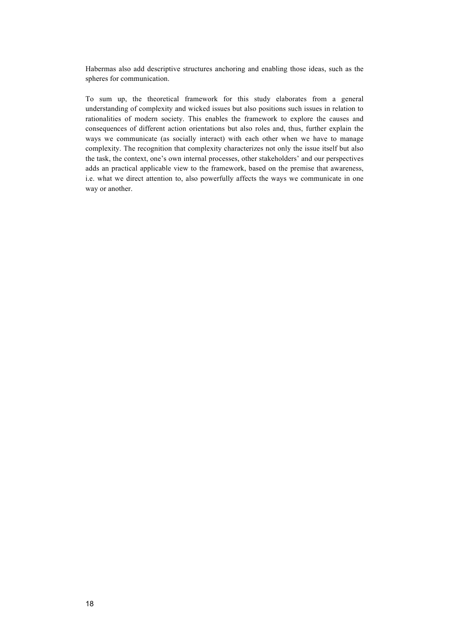Habermas also add descriptive structures anchoring and enabling those ideas, such as the spheres for communication.

To sum up, the theoretical framework for this study elaborates from a general understanding of complexity and wicked issues but also positions such issues in relation to rationalities of modern society. This enables the framework to explore the causes and consequences of different action orientations but also roles and, thus, further explain the ways we communicate (as socially interact) with each other when we have to manage complexity. The recognition that complexity characterizes not only the issue itself but also the task, the context, one's own internal processes, other stakeholders' and our perspectives adds an practical applicable view to the framework, based on the premise that awareness, i.e. what we direct attention to, also powerfully affects the ways we communicate in one way or another.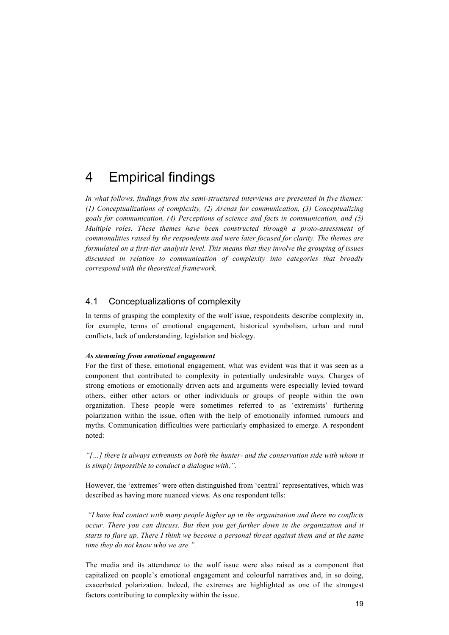## 4 Empirical findings

*In what follows, findings from the semi-structured interviews are presented in five themes: (1) Conceptualizations of complexity, (2) Arenas for communication, (3) Conceptualizing goals for communication, (4) Perceptions of science and facts in communication, and (5) Multiple roles. These themes have been constructed through a proto-assessment of commonalities raised by the respondents and were later focused for clarity. The themes are formulated on a first-tier analysis level. This means that they involve the grouping of issues discussed in relation to communication of complexity into categories that broadly correspond with the theoretical framework.*

## 4.1 Conceptualizations of complexity

In terms of grasping the complexity of the wolf issue, respondents describe complexity in, for example, terms of emotional engagement, historical symbolism, urban and rural conflicts, lack of understanding, legislation and biology.

#### *As stemming from emotional engagement*

For the first of these, emotional engagement, what was evident was that it was seen as a component that contributed to complexity in potentially undesirable ways. Charges of strong emotions or emotionally driven acts and arguments were especially levied toward others, either other actors or other individuals or groups of people within the own organization. These people were sometimes referred to as 'extremists' furthering polarization within the issue, often with the help of emotionally informed rumours and myths. Communication difficulties were particularly emphasized to emerge. A respondent noted:

*"[…] there is always extremists on both the hunter- and the conservation side with whom it is simply impossible to conduct a dialogue with.".*

However, the 'extremes' were often distinguished from 'central' representatives, which was described as having more nuanced views. As one respondent tells:

*"I have had contact with many people higher up in the organization and there no conflicts occur. There you can discuss. But then you get further down in the organization and it starts to flare up. There I think we become a personal threat against them and at the same time they do not know who we are.".* 

The media and its attendance to the wolf issue were also raised as a component that capitalized on people's emotional engagement and colourful narratives and, in so doing, exacerbated polarization. Indeed, the extremes are highlighted as one of the strongest factors contributing to complexity within the issue.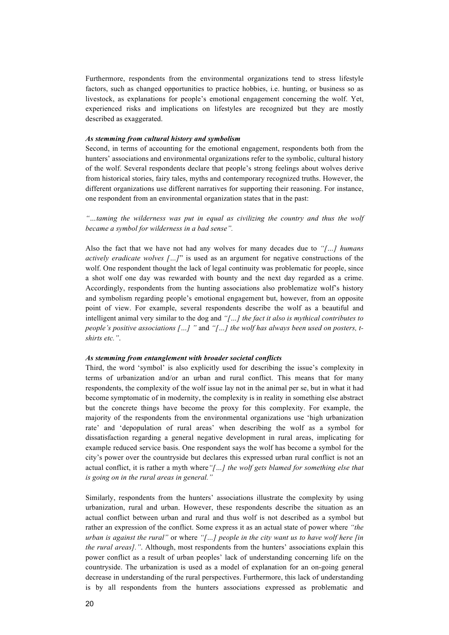Furthermore, respondents from the environmental organizations tend to stress lifestyle factors, such as changed opportunities to practice hobbies, i.e. hunting, or business so as livestock, as explanations for people's emotional engagement concerning the wolf. Yet, experienced risks and implications on lifestyles are recognized but they are mostly described as exaggerated.

#### *As stemming from cultural history and symbolism*

Second, in terms of accounting for the emotional engagement, respondents both from the hunters' associations and environmental organizations refer to the symbolic, cultural history of the wolf. Several respondents declare that people's strong feelings about wolves derive from historical stories, fairy tales, myths and contemporary recognized truths. However, the different organizations use different narratives for supporting their reasoning. For instance, one respondent from an environmental organization states that in the past:

*"…taming the wilderness was put in equal as civilizing the country and thus the wolf became a symbol for wilderness in a bad sense".* 

Also the fact that we have not had any wolves for many decades due to *"[…] humans actively eradicate wolves […]*" is used as an argument for negative constructions of the wolf. One respondent thought the lack of legal continuity was problematic for people, since a shot wolf one day was rewarded with bounty and the next day regarded as a crime. Accordingly, respondents from the hunting associations also problematize wolf's history and symbolism regarding people's emotional engagement but, however, from an opposite point of view. For example, several respondents describe the wolf as a beautiful and intelligent animal very similar to the dog and *"[…] the fact it also is mythical contributes to people's positive associations […] "* and *"[…] the wolf has always been used on posters, tshirts etc."*.

#### *As stemming from entanglement with broader societal conflicts*

Third, the word 'symbol' is also explicitly used for describing the issue's complexity in terms of urbanization and/or an urban and rural conflict. This means that for many respondents, the complexity of the wolf issue lay not in the animal per se, but in what it had become symptomatic of in modernity, the complexity is in reality in something else abstract but the concrete things have become the proxy for this complexity. For example, the majority of the respondents from the environmental organizations use 'high urbanization rate' and 'depopulation of rural areas' when describing the wolf as a symbol for dissatisfaction regarding a general negative development in rural areas, implicating for example reduced service basis. One respondent says the wolf has become a symbol for the city's power over the countryside but declares this expressed urban rural conflict is not an actual conflict, it is rather a myth where*"[…] the wolf gets blamed for something else that is going on in the rural areas in general."* 

Similarly, respondents from the hunters' associations illustrate the complexity by using urbanization, rural and urban. However, these respondents describe the situation as an actual conflict between urban and rural and thus wolf is not described as a symbol but rather an expression of the conflict. Some express it as an actual state of power where *"the urban is against the rural"* or where *"[…] people in the city want us to have wolf here [in the rural areas]."*. Although, most respondents from the hunters' associations explain this power conflict as a result of urban peoples' lack of understanding concerning life on the countryside. The urbanization is used as a model of explanation for an on-going general decrease in understanding of the rural perspectives. Furthermore, this lack of understanding is by all respondents from the hunters associations expressed as problematic and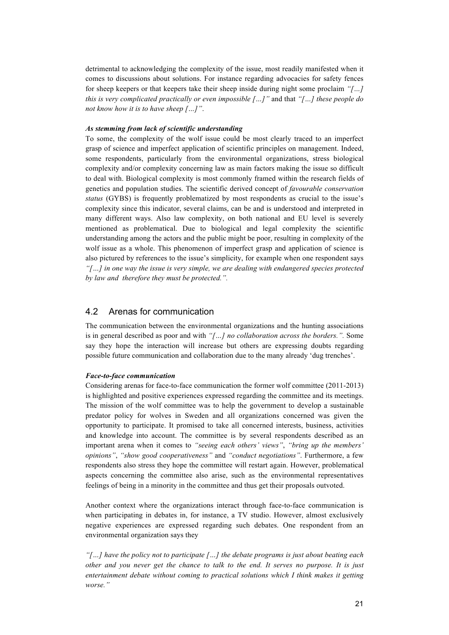detrimental to acknowledging the complexity of the issue, most readily manifested when it comes to discussions about solutions. For instance regarding advocacies for safety fences for sheep keepers or that keepers take their sheep inside during night some proclaim *"[…] this is very complicated practically or even impossible […]"* and that *"[…] these people do not know how it is to have sheep […]"*.

#### *As stemming from lack of scientific understanding*

To some, the complexity of the wolf issue could be most clearly traced to an imperfect grasp of science and imperfect application of scientific principles on management. Indeed, some respondents, particularly from the environmental organizations, stress biological complexity and/or complexity concerning law as main factors making the issue so difficult to deal with. Biological complexity is most commonly framed within the research fields of genetics and population studies. The scientific derived concept of *favourable conservation status* (GYBS) is frequently problematized by most respondents as crucial to the issue's complexity since this indicator, several claims, can be and is understood and interpreted in many different ways. Also law complexity, on both national and EU level is severely mentioned as problematical. Due to biological and legal complexity the scientific understanding among the actors and the public might be poor, resulting in complexity of the wolf issue as a whole. This phenomenon of imperfect grasp and application of science is also pictured by references to the issue's simplicity, for example when one respondent says *"[…] in one way the issue is very simple, we are dealing with endangered species protected by law and therefore they must be protected.".*

## 4.2 Arenas for communication

The communication between the environmental organizations and the hunting associations is in general described as poor and with *"[…] no collaboration across the borders.".* Some say they hope the interaction will increase but others are expressing doubts regarding possible future communication and collaboration due to the many already 'dug trenches'.

#### *Face-to-face communication*

Considering arenas for face-to-face communication the former wolf committee (2011-2013) is highlighted and positive experiences expressed regarding the committee and its meetings. The mission of the wolf committee was to help the government to develop a sustainable predator policy for wolves in Sweden and all organizations concerned was given the opportunity to participate. It promised to take all concerned interests, business, activities and knowledge into account. The committee is by several respondents described as an important arena when it comes to *"seeing each others' views"*, *"bring up the members' opinions"*, *"show good cooperativeness"* and *"conduct negotiations"*. Furthermore, a few respondents also stress they hope the committee will restart again. However, problematical aspects concerning the committee also arise, such as the environmental representatives feelings of being in a minority in the committee and thus get their proposals outvoted.

Another context where the organizations interact through face-to-face communication is when participating in debates in, for instance, a TV studio. However, almost exclusively negative experiences are expressed regarding such debates. One respondent from an environmental organization says they

*"[…] have the policy not to participate […] the debate programs is just about beating each other and you never get the chance to talk to the end. It serves no purpose. It is just entertainment debate without coming to practical solutions which I think makes it getting worse."*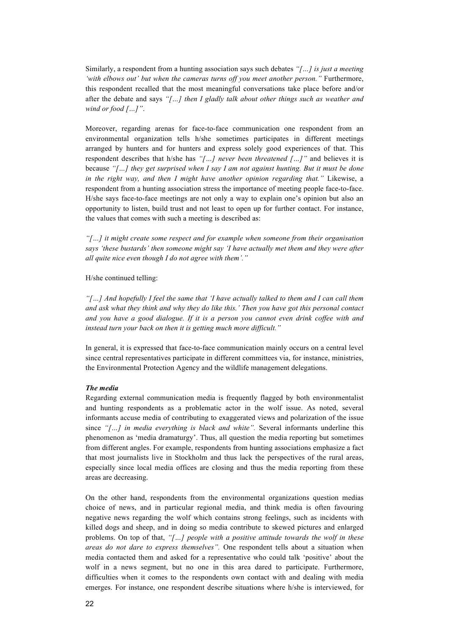Similarly, a respondent from a hunting association says such debates *"[…] is just a meeting 'with elbows out' but when the cameras turns off you meet another person."* Furthermore, this respondent recalled that the most meaningful conversations take place before and/or after the debate and says *"[…] then I gladly talk about other things such as weather and wind or food […]"*.

Moreover, regarding arenas for face-to-face communication one respondent from an environmental organization tells h/she sometimes participates in different meetings arranged by hunters and for hunters and express solely good experiences of that. This respondent describes that h/she has *"[…] never been threatened […]"* and believes it is because *"[…] they get surprised when I say I am not against hunting. But it must be done in the right way, and then I might have another opinion regarding that."* Likewise, a respondent from a hunting association stress the importance of meeting people face-to-face. H/she says face-to-face meetings are not only a way to explain one's opinion but also an opportunity to listen, build trust and not least to open up for further contact. For instance, the values that comes with such a meeting is described as:

*"[…] it might create some respect and for example when someone from their organisation says 'these bustards' then someone might say 'I have actually met them and they were after all quite nice even though I do not agree with them'."*

H/she continued telling:

*"[…] And hopefully I feel the same that 'I have actually talked to them and I can call them and ask what they think and why they do like this.' Then you have got this personal contact and you have a good dialogue. If it is a person you cannot even drink coffee with and instead turn your back on then it is getting much more difficult."*

In general, it is expressed that face-to-face communication mainly occurs on a central level since central representatives participate in different committees via, for instance, ministries, the Environmental Protection Agency and the wildlife management delegations.

#### *The media*

Regarding external communication media is frequently flagged by both environmentalist and hunting respondents as a problematic actor in the wolf issue. As noted, several informants accuse media of contributing to exaggerated views and polarization of the issue since *"[…] in media everything is black and white".* Several informants underline this phenomenon as 'media dramaturgy'. Thus, all question the media reporting but sometimes from different angles. For example, respondents from hunting associations emphasize a fact that most journalists live in Stockholm and thus lack the perspectives of the rural areas, especially since local media offices are closing and thus the media reporting from these areas are decreasing.

On the other hand, respondents from the environmental organizations question medias choice of news, and in particular regional media, and think media is often favouring negative news regarding the wolf which contains strong feelings, such as incidents with killed dogs and sheep, and in doing so media contribute to skewed pictures and enlarged problems. On top of that, *"[…] people with a positive attitude towards the wolf in these areas do not dare to express themselves".* One respondent tells about a situation when media contacted them and asked for a representative who could talk 'positive' about the wolf in a news segment, but no one in this area dared to participate. Furthermore, difficulties when it comes to the respondents own contact with and dealing with media emerges. For instance, one respondent describe situations where h/she is interviewed, for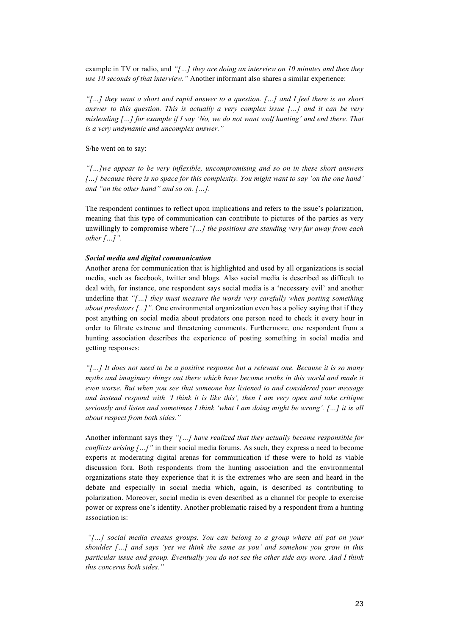example in TV or radio, and *"[…] they are doing an interview on 10 minutes and then they use 10 seconds of that interview."* Another informant also shares a similar experience:

*"[…] they want a short and rapid answer to a question. […] and I feel there is no short answer to this question. This is actually a very complex issue […] and it can be very misleading […] for example if I say 'No, we do not want wolf hunting' and end there. That is a very undynamic and uncomplex answer."*

S/he went on to say:

*"[…]we appear to be very inflexible, uncompromising and so on in these short answers […] because there is no space for this complexity. You might want to say 'on the one hand' and "on the other hand" and so on. […].*

The respondent continues to reflect upon implications and refers to the issue's polarization, meaning that this type of communication can contribute to pictures of the parties as very unwillingly to compromise where*"[…] the positions are standing very far away from each other […]".* 

#### *Social media and digital communication*

Another arena for communication that is highlighted and used by all organizations is social media, such as facebook, twitter and blogs. Also social media is described as difficult to deal with, for instance, one respondent says social media is a 'necessary evil' and another underline that *"[…] they must measure the words very carefully when posting something about predators [...]".* One environmental organization even has a policy saying that if they post anything on social media about predators one person need to check it every hour in order to filtrate extreme and threatening comments. Furthermore, one respondent from a hunting association describes the experience of posting something in social media and getting responses:

*"[…] It does not need to be a positive response but a relevant one. Because it is so many myths and imaginary things out there which have become truths in this world and made it even worse. But when you see that someone has listened to and considered your message and instead respond with 'I think it is like this', then I am very open and take critique seriously and listen and sometimes I think 'what I am doing might be wrong'. […] it is all about respect from both sides."* 

Another informant says they *"[…] have realized that they actually become responsible for conflicts arising […]"* in their social media forums. As such, they express a need to become experts at moderating digital arenas for communication if these were to hold as viable discussion fora. Both respondents from the hunting association and the environmental organizations state they experience that it is the extremes who are seen and heard in the debate and especially in social media which, again, is described as contributing to polarization. Moreover, social media is even described as a channel for people to exercise power or express one's identity. Another problematic raised by a respondent from a hunting association is:

*"[…] social media creates groups. You can belong to a group where all pat on your shoulder […] and says 'yes we think the same as you' and somehow you grow in this particular issue and group. Eventually you do not see the other side any more. And I think this concerns both sides."*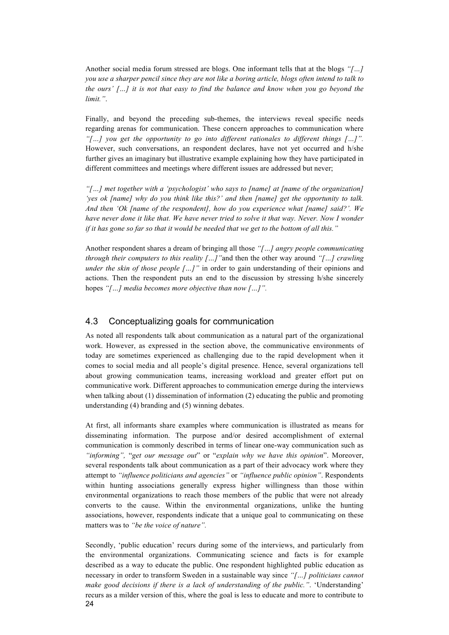Another social media forum stressed are blogs. One informant tells that at the blogs *"[…] you use a sharper pencil since they are not like a boring article, blogs often intend to talk to the ours' […] it is not that easy to find the balance and know when you go beyond the limit."*.

Finally, and beyond the preceding sub-themes, the interviews reveal specific needs regarding arenas for communication. These concern approaches to communication where *"[…] you get the opportunity to go into different rationales to different things […]".* However, such conversations, an respondent declares, have not yet occurred and h/she further gives an imaginary but illustrative example explaining how they have participated in different committees and meetings where different issues are addressed but never;

*"[…] met together with a 'psychologist' who says to [name] at [name of the organization] 'yes ok [name] why do you think like this?' and then [name] get the opportunity to talk. And then 'Ok [name of the respondent], how do you experience what [name] said?'. We*  have never done it like that. We have never tried to solve it that way. Never. Now I wonder *if it has gone so far so that it would be needed that we get to the bottom of all this."*

Another respondent shares a dream of bringing all those *"[…] angry people communicating through their computers to this reality […]"*and then the other way around *"[…] crawling under the skin of those people […]*" in order to gain understanding of their opinions and actions. Then the respondent puts an end to the discussion by stressing h/she sincerely hopes *"[…] media becomes more objective than now […]".*

### 4.3 Conceptualizing goals for communication

As noted all respondents talk about communication as a natural part of the organizational work. However, as expressed in the section above, the communicative environments of today are sometimes experienced as challenging due to the rapid development when it comes to social media and all people's digital presence. Hence, several organizations tell about growing communication teams, increasing workload and greater effort put on communicative work. Different approaches to communication emerge during the interviews when talking about (1) dissemination of information (2) educating the public and promoting understanding (4) branding and (5) winning debates.

At first, all informants share examples where communication is illustrated as means for disseminating information. The purpose and/or desired accomplishment of external communication is commonly described in terms of linear one-way communication such as *"informing",* "*get our message out*" or "*explain why we have this opinion*". Moreover, several respondents talk about communication as a part of their advocacy work where they attempt to *"influence politicians and agencies"* or *"influence public opinion"*. Respondents within hunting associations generally express higher willingness than those within environmental organizations to reach those members of the public that were not already converts to the cause. Within the environmental organizations, unlike the hunting associations, however, respondents indicate that a unique goal to communicating on these matters was to *"be the voice of nature".*

24 Secondly, 'public education' recurs during some of the interviews, and particularly from the environmental organizations. Communicating science and facts is for example described as a way to educate the public. One respondent highlighted public education as necessary in order to transform Sweden in a sustainable way since *"[…] politicians cannot make good decisions if there is a lack of understanding of the public."*. 'Understanding' recurs as a milder version of this, where the goal is less to educate and more to contribute to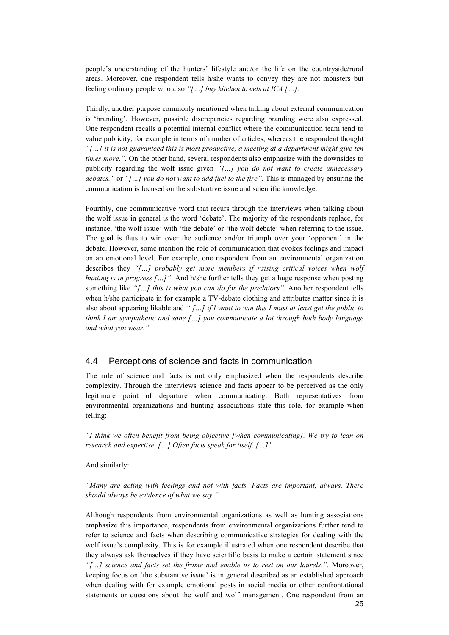people's understanding of the hunters' lifestyle and/or the life on the countryside/rural areas. Moreover, one respondent tells h/she wants to convey they are not monsters but feeling ordinary people who also *"[…] buy kitchen towels at ICA […].*

Thirdly, another purpose commonly mentioned when talking about external communication is 'branding'. However, possible discrepancies regarding branding were also expressed. One respondent recalls a potential internal conflict where the communication team tend to value publicity, for example in terms of number of articles, whereas the respondent thought *"[…] it is not guaranteed this is most productive, a meeting at a department might give ten times more.".* On the other hand, several respondents also emphasize with the downsides to publicity regarding the wolf issue given *"[…] you do not want to create unnecessary debates."* or *"[…] you do not want to add fuel to the fire".* This is managed by ensuring the communication is focused on the substantive issue and scientific knowledge.

Fourthly, one communicative word that recurs through the interviews when talking about the wolf issue in general is the word 'debate'. The majority of the respondents replace, for instance, 'the wolf issue' with 'the debate' or 'the wolf debate' when referring to the issue. The goal is thus to win over the audience and/or triumph over your 'opponent' in the debate. However, some mention the role of communication that evokes feelings and impact on an emotional level. For example, one respondent from an environmental organization describes they *"[…] probably get more members if raising critical voices when wolf hunting is in progress […]"*. And h/she further tells they get a huge response when posting something like *"[…] this is what you can do for the predators".* Another respondent tells when h/she participate in for example a TV-debate clothing and attributes matter since it is also about appearing likable and *" […] if I want to win this I must at least get the public to think I am sympathetic and sane […] you communicate a lot through both body language and what you wear.".* 

## 4.4 Perceptions of science and facts in communication

The role of science and facts is not only emphasized when the respondents describe complexity. Through the interviews science and facts appear to be perceived as the only legitimate point of departure when communicating. Both representatives from environmental organizations and hunting associations state this role, for example when telling:

*"I think we often benefit from being objective [when communicating]. We try to lean on research and expertise. […] Often facts speak for itself. […]"*

And similarly:

*"Many are acting with feelings and not with facts. Facts are important, always. There should always be evidence of what we say.".* 

25 Although respondents from environmental organizations as well as hunting associations emphasize this importance, respondents from environmental organizations further tend to refer to science and facts when describing communicative strategies for dealing with the wolf issue's complexity. This is for example illustrated when one respondent describe that they always ask themselves if they have scientific basis to make a certain statement since *"[…] science and facts set the frame and enable us to rest on our laurels.".* Moreover, keeping focus on 'the substantive issue' is in general described as an established approach when dealing with for example emotional posts in social media or other confrontational statements or questions about the wolf and wolf management. One respondent from an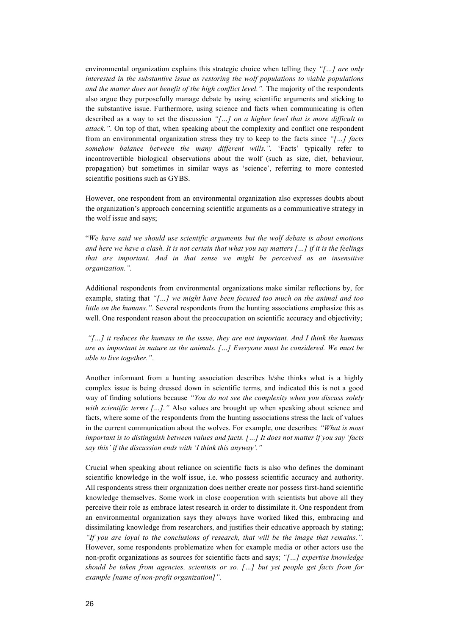environmental organization explains this strategic choice when telling they *"[…] are only interested in the substantive issue as restoring the wolf populations to viable populations*  and the matter does not benefit of the high conflict level.". The majority of the respondents also argue they purposefully manage debate by using scientific arguments and sticking to the substantive issue. Furthermore, using science and facts when communicating is often described as a way to set the discussion *"[…] on a higher level that is more difficult to attack."*. On top of that, when speaking about the complexity and conflict one respondent from an environmental organization stress they try to keep to the facts since *"[…] facts somehow balance between the many different wills.".* 'Facts' typically refer to incontrovertible biological observations about the wolf (such as size, diet, behaviour, propagation) but sometimes in similar ways as 'science', referring to more contested scientific positions such as GYBS.

However, one respondent from an environmental organization also expresses doubts about the organization's approach concerning scientific arguments as a communicative strategy in the wolf issue and says;

"*We have said we should use scientific arguments but the wolf debate is about emotions and here we have a clash. It is not certain that what you say matters […] if it is the feelings that are important. And in that sense we might be perceived as an insensitive organization.".* 

Additional respondents from environmental organizations make similar reflections by, for example, stating that *"[…] we might have been focused too much on the animal and too little on the humans."*. Several respondents from the hunting associations emphasize this as well. One respondent reason about the preoccupation on scientific accuracy and objectivity;

*"[…] it reduces the humans in the issue, they are not important. And I think the humans are as important in nature as the animals. […] Everyone must be considered. We must be able to live together."*.

Another informant from a hunting association describes h/she thinks what is a highly complex issue is being dressed down in scientific terms, and indicated this is not a good way of finding solutions because *"You do not see the complexity when you discuss solely with scientific terms [...].*" Also values are brought up when speaking about science and facts, where some of the respondents from the hunting associations stress the lack of values in the current communication about the wolves. For example, one describes: *"What is most important is to distinguish between values and facts. […] It does not matter if you say 'facts say this' if the discussion ends with 'I think this anyway'."* 

Crucial when speaking about reliance on scientific facts is also who defines the dominant scientific knowledge in the wolf issue, i.e. who possess scientific accuracy and authority. All respondents stress their organization does neither create nor possess first-hand scientific knowledge themselves. Some work in close cooperation with scientists but above all they perceive their role as embrace latest research in order to dissimilate it. One respondent from an environmental organization says they always have worked liked this, embracing and dissimilating knowledge from researchers, and justifies their educative approach by stating; *"If you are loyal to the conclusions of research, that will be the image that remains.".*  However, some respondents problematize when for example media or other actors use the non-profit organizations as sources for scientific facts and says; *"[…] expertise knowledge should be taken from agencies, scientists or so. […] but yet people get facts from for example [name of non-profit organization]".*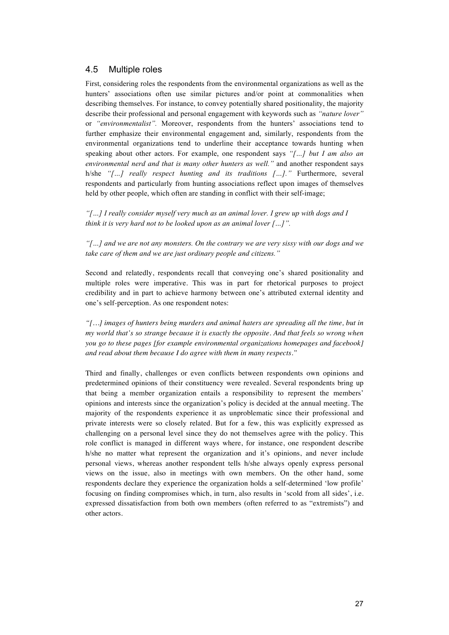## 4.5 Multiple roles

First, considering roles the respondents from the environmental organizations as well as the hunters' associations often use similar pictures and/or point at commonalities when describing themselves. For instance, to convey potentially shared positionality, the majority describe their professional and personal engagement with keywords such as *"nature lover"* or *"environmentalist".* Moreover, respondents from the hunters' associations tend to further emphasize their environmental engagement and, similarly, respondents from the environmental organizations tend to underline their acceptance towards hunting when speaking about other actors. For example, one respondent says *"[…] but I am also an environmental nerd and that is many other hunters as well."* and another respondent says h/she *"[…] really respect hunting and its traditions […]."* Furthermore, several respondents and particularly from hunting associations reflect upon images of themselves held by other people, which often are standing in conflict with their self-image;

*"[…] I really consider myself very much as an animal lover. I grew up with dogs and I think it is very hard not to be looked upon as an animal lover […]".*

*"[…] and we are not any monsters. On the contrary we are very sissy with our dogs and we take care of them and we are just ordinary people and citizens."*

Second and relatedly, respondents recall that conveying one's shared positionality and multiple roles were imperative. This was in part for rhetorical purposes to project credibility and in part to achieve harmony between one's attributed external identity and one's self-perception. As one respondent notes:

*"[…] images of hunters being murders and animal haters are spreading all the time, but in my world that's so strange because it is exactly the opposite. And that feels so wrong when you go to these pages [for example environmental organizations homepages and facebook] and read about them because I do agree with them in many respects."*

Third and finally, challenges or even conflicts between respondents own opinions and predetermined opinions of their constituency were revealed. Several respondents bring up that being a member organization entails a responsibility to represent the members' opinions and interests since the organization's policy is decided at the annual meeting. The majority of the respondents experience it as unproblematic since their professional and private interests were so closely related. But for a few, this was explicitly expressed as challenging on a personal level since they do not themselves agree with the policy. This role conflict is managed in different ways where, for instance, one respondent describe h/she no matter what represent the organization and it's opinions, and never include personal views, whereas another respondent tells h/she always openly express personal views on the issue, also in meetings with own members. On the other hand, some respondents declare they experience the organization holds a self-determined 'low profile' focusing on finding compromises which, in turn, also results in 'scold from all sides', i.e. expressed dissatisfaction from both own members (often referred to as "extremists") and other actors.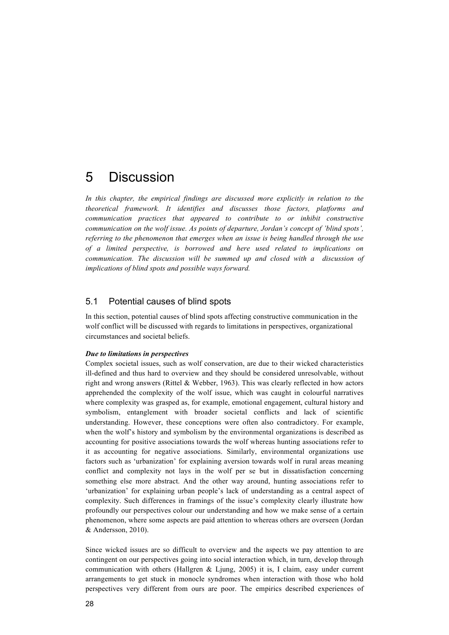## 5 Discussion

*In this chapter, the empirical findings are discussed more explicitly in relation to the theoretical framework. It identifies and discusses those factors, platforms and communication practices that appeared to contribute to or inhibit constructive communication on the wolf issue. As points of departure, Jordan's concept of 'blind spots', referring to the phenomenon that emerges when an issue is being handled through the use of a limited perspective, is borrowed and here used related to implications on communication. The discussion will be summed up and closed with a discussion of implications of blind spots and possible ways forward.* 

## 5.1 Potential causes of blind spots

In this section, potential causes of blind spots affecting constructive communication in the wolf conflict will be discussed with regards to limitations in perspectives, organizational circumstances and societal beliefs.

#### *Due to limitations in perspectives*

Complex societal issues, such as wolf conservation, are due to their wicked characteristics ill-defined and thus hard to overview and they should be considered unresolvable, without right and wrong answers (Rittel & Webber, 1963). This was clearly reflected in how actors apprehended the complexity of the wolf issue, which was caught in colourful narratives where complexity was grasped as, for example, emotional engagement, cultural history and symbolism, entanglement with broader societal conflicts and lack of scientific understanding. However, these conceptions were often also contradictory. For example, when the wolf's history and symbolism by the environmental organizations is described as accounting for positive associations towards the wolf whereas hunting associations refer to it as accounting for negative associations. Similarly, environmental organizations use factors such as 'urbanization' for explaining aversion towards wolf in rural areas meaning conflict and complexity not lays in the wolf per se but in dissatisfaction concerning something else more abstract. And the other way around, hunting associations refer to 'urbanization' for explaining urban people's lack of understanding as a central aspect of complexity. Such differences in framings of the issue's complexity clearly illustrate how profoundly our perspectives colour our understanding and how we make sense of a certain phenomenon, where some aspects are paid attention to whereas others are overseen (Jordan & Andersson, 2010).

Since wicked issues are so difficult to overview and the aspects we pay attention to are contingent on our perspectives going into social interaction which, in turn, develop through communication with others (Hallgren & Ljung, 2005) it is, I claim, easy under current arrangements to get stuck in monocle syndromes when interaction with those who hold perspectives very different from ours are poor. The empirics described experiences of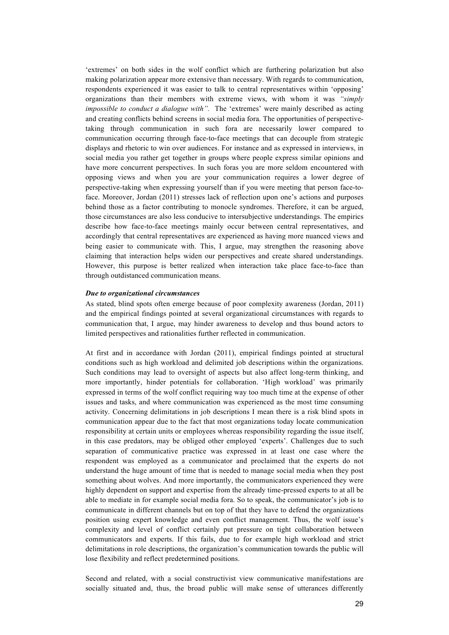'extremes' on both sides in the wolf conflict which are furthering polarization but also making polarization appear more extensive than necessary. With regards to communication, respondents experienced it was easier to talk to central representatives within 'opposing' organizations than their members with extreme views, with whom it was *"simply impossible to conduct a dialogue with".* The 'extremes' were mainly described as acting and creating conflicts behind screens in social media fora. The opportunities of perspectivetaking through communication in such fora are necessarily lower compared to communication occurring through face-to-face meetings that can decouple from strategic displays and rhetoric to win over audiences. For instance and as expressed in interviews, in social media you rather get together in groups where people express similar opinions and have more concurrent perspectives. In such foras you are more seldom encountered with opposing views and when you are your communication requires a lower degree of perspective-taking when expressing yourself than if you were meeting that person face-toface. Moreover, Jordan (2011) stresses lack of reflection upon one's actions and purposes behind those as a factor contributing to monocle syndromes. Therefore, it can be argued, those circumstances are also less conducive to intersubjective understandings. The empirics describe how face-to-face meetings mainly occur between central representatives, and accordingly that central representatives are experienced as having more nuanced views and being easier to communicate with. This, I argue, may strengthen the reasoning above claiming that interaction helps widen our perspectives and create shared understandings. However, this purpose is better realized when interaction take place face-to-face than through outdistanced communication means.

#### *Due to organizational circumstances*

As stated, blind spots often emerge because of poor complexity awareness (Jordan, 2011) and the empirical findings pointed at several organizational circumstances with regards to communication that, I argue, may hinder awareness to develop and thus bound actors to limited perspectives and rationalities further reflected in communication.

At first and in accordance with Jordan (2011), empirical findings pointed at structural conditions such as high workload and delimited job descriptions within the organizations. Such conditions may lead to oversight of aspects but also affect long-term thinking, and more importantly, hinder potentials for collaboration. 'High workload' was primarily expressed in terms of the wolf conflict requiring way too much time at the expense of other issues and tasks, and where communication was experienced as the most time consuming activity. Concerning delimitations in job descriptions I mean there is a risk blind spots in communication appear due to the fact that most organizations today locate communication responsibility at certain units or employees whereas responsibility regarding the issue itself, in this case predators, may be obliged other employed 'experts'. Challenges due to such separation of communicative practice was expressed in at least one case where the respondent was employed as a communicator and proclaimed that the experts do not understand the huge amount of time that is needed to manage social media when they post something about wolves. And more importantly, the communicators experienced they were highly dependent on support and expertise from the already time-pressed experts to at all be able to mediate in for example social media fora. So to speak, the communicator's job is to communicate in different channels but on top of that they have to defend the organizations position using expert knowledge and even conflict management. Thus, the wolf issue's complexity and level of conflict certainly put pressure on tight collaboration between communicators and experts. If this fails, due to for example high workload and strict delimitations in role descriptions, the organization's communication towards the public will lose flexibility and reflect predetermined positions.

Second and related, with a social constructivist view communicative manifestations are socially situated and, thus, the broad public will make sense of utterances differently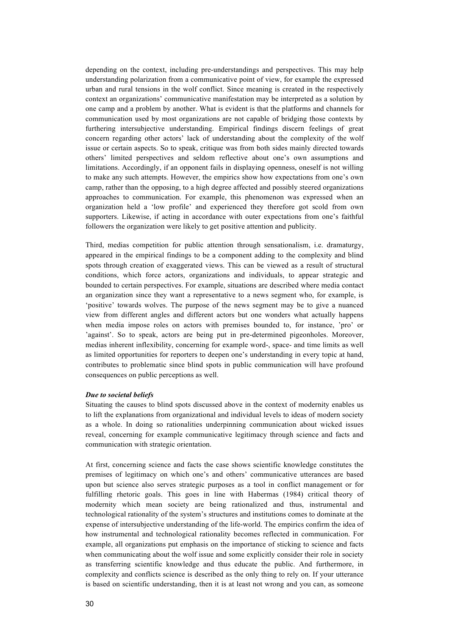depending on the context, including pre-understandings and perspectives. This may help understanding polarization from a communicative point of view, for example the expressed urban and rural tensions in the wolf conflict. Since meaning is created in the respectively context an organizations' communicative manifestation may be interpreted as a solution by one camp and a problem by another. What is evident is that the platforms and channels for communication used by most organizations are not capable of bridging those contexts by furthering intersubjective understanding. Empirical findings discern feelings of great concern regarding other actors' lack of understanding about the complexity of the wolf issue or certain aspects. So to speak, critique was from both sides mainly directed towards others' limited perspectives and seldom reflective about one's own assumptions and limitations. Accordingly, if an opponent fails in displaying openness, oneself is not willing to make any such attempts. However, the empirics show how expectations from one's own camp, rather than the opposing, to a high degree affected and possibly steered organizations approaches to communication. For example, this phenomenon was expressed when an organization held a 'low profile' and experienced they therefore got scold from own supporters. Likewise, if acting in accordance with outer expectations from one's faithful followers the organization were likely to get positive attention and publicity.

Third, medias competition for public attention through sensationalism, i.e. dramaturgy, appeared in the empirical findings to be a component adding to the complexity and blind spots through creation of exaggerated views. This can be viewed as a result of structural conditions, which force actors, organizations and individuals, to appear strategic and bounded to certain perspectives. For example, situations are described where media contact an organization since they want a representative to a news segment who, for example, is 'positive' towards wolves. The purpose of the news segment may be to give a nuanced view from different angles and different actors but one wonders what actually happens when media impose roles on actors with premises bounded to, for instance, 'pro' or 'against'. So to speak, actors are being put in pre-determined pigeonholes. Moreover, medias inherent inflexibility, concerning for example word-, space- and time limits as well as limited opportunities for reporters to deepen one's understanding in every topic at hand, contributes to problematic since blind spots in public communication will have profound consequences on public perceptions as well.

#### *Due to societal beliefs*

Situating the causes to blind spots discussed above in the context of modernity enables us to lift the explanations from organizational and individual levels to ideas of modern society as a whole. In doing so rationalities underpinning communication about wicked issues reveal, concerning for example communicative legitimacy through science and facts and communication with strategic orientation.

At first, concerning science and facts the case shows scientific knowledge constitutes the premises of legitimacy on which one's and others' communicative utterances are based upon but science also serves strategic purposes as a tool in conflict management or for fulfilling rhetoric goals. This goes in line with Habermas (1984) critical theory of modernity which mean society are being rationalized and thus, instrumental and technological rationality of the system's structures and institutions comes to dominate at the expense of intersubjective understanding of the life-world. The empirics confirm the idea of how instrumental and technological rationality becomes reflected in communication. For example, all organizations put emphasis on the importance of sticking to science and facts when communicating about the wolf issue and some explicitly consider their role in society as transferring scientific knowledge and thus educate the public. And furthermore, in complexity and conflicts science is described as the only thing to rely on. If your utterance is based on scientific understanding, then it is at least not wrong and you can, as someone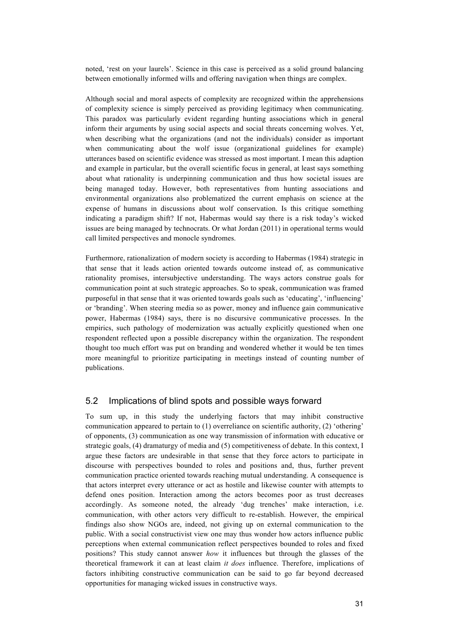noted, 'rest on your laurels'. Science in this case is perceived as a solid ground balancing between emotionally informed wills and offering navigation when things are complex.

Although social and moral aspects of complexity are recognized within the apprehensions of complexity science is simply perceived as providing legitimacy when communicating. This paradox was particularly evident regarding hunting associations which in general inform their arguments by using social aspects and social threats concerning wolves. Yet, when describing what the organizations (and not the individuals) consider as important when communicating about the wolf issue (organizational guidelines for example) utterances based on scientific evidence was stressed as most important. I mean this adaption and example in particular, but the overall scientific focus in general, at least says something about what rationality is underpinning communication and thus how societal issues are being managed today. However, both representatives from hunting associations and environmental organizations also problematized the current emphasis on science at the expense of humans in discussions about wolf conservation. Is this critique something indicating a paradigm shift? If not, Habermas would say there is a risk today's wicked issues are being managed by technocrats. Or what Jordan (2011) in operational terms would call limited perspectives and monocle syndromes.

Furthermore, rationalization of modern society is according to Habermas (1984) strategic in that sense that it leads action oriented towards outcome instead of, as communicative rationality promises, intersubjective understanding. The ways actors construe goals for communication point at such strategic approaches. So to speak, communication was framed purposeful in that sense that it was oriented towards goals such as 'educating', 'influencing' or 'branding'. When steering media so as power, money and influence gain communicative power, Habermas (1984) says, there is no discursive communicative processes. In the empirics, such pathology of modernization was actually explicitly questioned when one respondent reflected upon a possible discrepancy within the organization. The respondent thought too much effort was put on branding and wondered whether it would be ten times more meaningful to prioritize participating in meetings instead of counting number of publications.

## 5.2 Implications of blind spots and possible ways forward

To sum up, in this study the underlying factors that may inhibit constructive communication appeared to pertain to (1) overreliance on scientific authority, (2) 'othering' of opponents, (3) communication as one way transmission of information with educative or strategic goals, (4) dramaturgy of media and (5) competitiveness of debate. In this context, I argue these factors are undesirable in that sense that they force actors to participate in discourse with perspectives bounded to roles and positions and, thus, further prevent communication practice oriented towards reaching mutual understanding. A consequence is that actors interpret every utterance or act as hostile and likewise counter with attempts to defend ones position. Interaction among the actors becomes poor as trust decreases accordingly. As someone noted, the already 'dug trenches' make interaction, i.e. communication, with other actors very difficult to re-establish. However, the empirical findings also show NGOs are, indeed, not giving up on external communication to the public. With a social constructivist view one may thus wonder how actors influence public perceptions when external communication reflect perspectives bounded to roles and fixed positions? This study cannot answer *how* it influences but through the glasses of the theoretical framework it can at least claim *it does* influence. Therefore, implications of factors inhibiting constructive communication can be said to go far beyond decreased opportunities for managing wicked issues in constructive ways.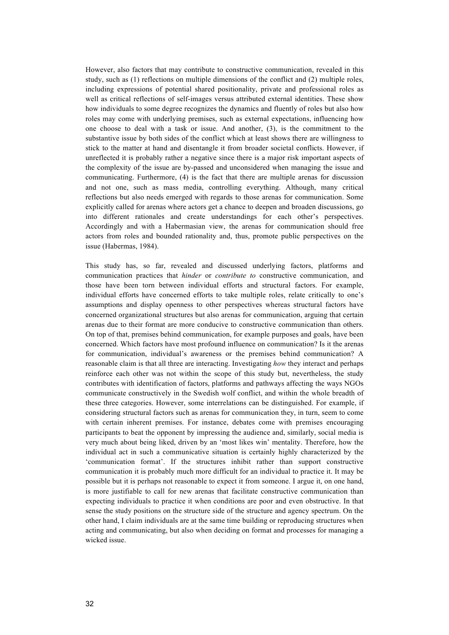However, also factors that may contribute to constructive communication, revealed in this study, such as (1) reflections on multiple dimensions of the conflict and (2) multiple roles, including expressions of potential shared positionality, private and professional roles as well as critical reflections of self-images versus attributed external identities. These show how individuals to some degree recognizes the dynamics and fluently of roles but also how roles may come with underlying premises, such as external expectations, influencing how one choose to deal with a task or issue. And another, (3), is the commitment to the substantive issue by both sides of the conflict which at least shows there are willingness to stick to the matter at hand and disentangle it from broader societal conflicts. However, if unreflected it is probably rather a negative since there is a major risk important aspects of the complexity of the issue are by-passed and unconsidered when managing the issue and communicating. Furthermore, (4) is the fact that there are multiple arenas for discussion and not one, such as mass media, controlling everything. Although, many critical reflections but also needs emerged with regards to those arenas for communication. Some explicitly called for arenas where actors get a chance to deepen and broaden discussions, go into different rationales and create understandings for each other's perspectives. Accordingly and with a Habermasian view, the arenas for communication should free actors from roles and bounded rationality and, thus, promote public perspectives on the issue (Habermas, 1984).

This study has, so far, revealed and discussed underlying factors, platforms and communication practices that *hinder* or *contribute to* constructive communication, and those have been torn between individual efforts and structural factors. For example, individual efforts have concerned efforts to take multiple roles, relate critically to one's assumptions and display openness to other perspectives whereas structural factors have concerned organizational structures but also arenas for communication, arguing that certain arenas due to their format are more conducive to constructive communication than others. On top of that, premises behind communication, for example purposes and goals, have been concerned. Which factors have most profound influence on communication? Is it the arenas for communication, individual's awareness or the premises behind communication? A reasonable claim is that all three are interacting. Investigating *how* they interact and perhaps reinforce each other was not within the scope of this study but, nevertheless, the study contributes with identification of factors, platforms and pathways affecting the ways NGOs communicate constructively in the Swedish wolf conflict, and within the whole breadth of these three categories. However, some interrelations can be distinguished. For example, if considering structural factors such as arenas for communication they, in turn, seem to come with certain inherent premises. For instance, debates come with premises encouraging participants to beat the opponent by impressing the audience and, similarly, social media is very much about being liked, driven by an 'most likes win' mentality. Therefore, how the individual act in such a communicative situation is certainly highly characterized by the 'communication format'. If the structures inhibit rather than support constructive communication it is probably much more difficult for an individual to practice it. It may be possible but it is perhaps not reasonable to expect it from someone. I argue it, on one hand, is more justifiable to call for new arenas that facilitate constructive communication than expecting individuals to practice it when conditions are poor and even obstructive. In that sense the study positions on the structure side of the structure and agency spectrum. On the other hand, I claim individuals are at the same time building or reproducing structures when acting and communicating, but also when deciding on format and processes for managing a wicked issue.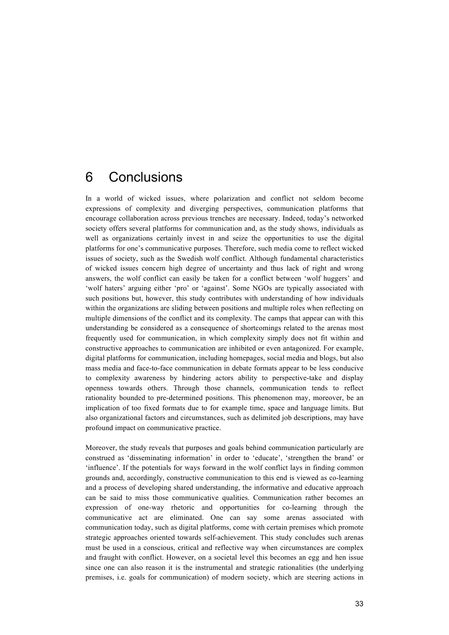## 6 Conclusions

In a world of wicked issues, where polarization and conflict not seldom become expressions of complexity and diverging perspectives, communication platforms that encourage collaboration across previous trenches are necessary. Indeed, today's networked society offers several platforms for communication and, as the study shows, individuals as well as organizations certainly invest in and seize the opportunities to use the digital platforms for one's communicative purposes. Therefore, such media come to reflect wicked issues of society, such as the Swedish wolf conflict. Although fundamental characteristics of wicked issues concern high degree of uncertainty and thus lack of right and wrong answers, the wolf conflict can easily be taken for a conflict between 'wolf huggers' and 'wolf haters' arguing either 'pro' or 'against'. Some NGOs are typically associated with such positions but, however, this study contributes with understanding of how individuals within the organizations are sliding between positions and multiple roles when reflecting on multiple dimensions of the conflict and its complexity. The camps that appear can with this understanding be considered as a consequence of shortcomings related to the arenas most frequently used for communication, in which complexity simply does not fit within and constructive approaches to communication are inhibited or even antagonized. For example, digital platforms for communication, including homepages, social media and blogs, but also mass media and face-to-face communication in debate formats appear to be less conducive to complexity awareness by hindering actors ability to perspective-take and display openness towards others. Through those channels, communication tends to reflect rationality bounded to pre-determined positions. This phenomenon may, moreover, be an implication of too fixed formats due to for example time, space and language limits. But also organizational factors and circumstances, such as delimited job descriptions, may have profound impact on communicative practice.

Moreover, the study reveals that purposes and goals behind communication particularly are construed as 'disseminating information' in order to 'educate', 'strengthen the brand' or 'influence'. If the potentials for ways forward in the wolf conflict lays in finding common grounds and, accordingly, constructive communication to this end is viewed as co-learning and a process of developing shared understanding, the informative and educative approach can be said to miss those communicative qualities. Communication rather becomes an expression of one-way rhetoric and opportunities for co-learning through the communicative act are eliminated. One can say some arenas associated with communication today, such as digital platforms, come with certain premises which promote strategic approaches oriented towards self-achievement. This study concludes such arenas must be used in a conscious, critical and reflective way when circumstances are complex and fraught with conflict. However, on a societal level this becomes an egg and hen issue since one can also reason it is the instrumental and strategic rationalities (the underlying premises, i.e. goals for communication) of modern society, which are steering actions in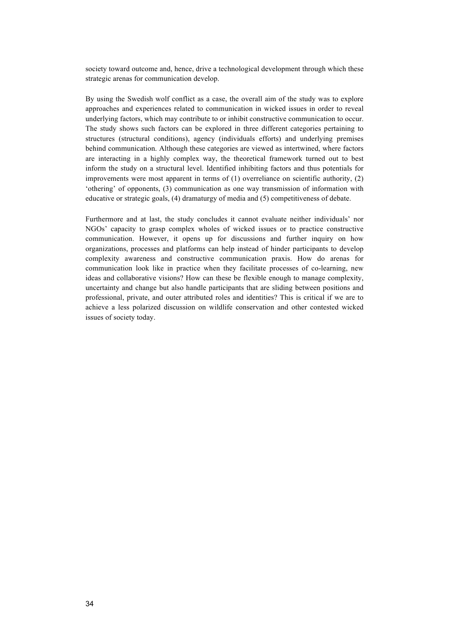society toward outcome and, hence, drive a technological development through which these strategic arenas for communication develop.

By using the Swedish wolf conflict as a case, the overall aim of the study was to explore approaches and experiences related to communication in wicked issues in order to reveal underlying factors, which may contribute to or inhibit constructive communication to occur. The study shows such factors can be explored in three different categories pertaining to structures (structural conditions), agency (individuals efforts) and underlying premises behind communication. Although these categories are viewed as intertwined, where factors are interacting in a highly complex way, the theoretical framework turned out to best inform the study on a structural level. Identified inhibiting factors and thus potentials for improvements were most apparent in terms of (1) overreliance on scientific authority, (2) 'othering' of opponents, (3) communication as one way transmission of information with educative or strategic goals, (4) dramaturgy of media and (5) competitiveness of debate.

Furthermore and at last, the study concludes it cannot evaluate neither individuals' nor NGOs' capacity to grasp complex wholes of wicked issues or to practice constructive communication. However, it opens up for discussions and further inquiry on how organizations, processes and platforms can help instead of hinder participants to develop complexity awareness and constructive communication praxis. How do arenas for communication look like in practice when they facilitate processes of co-learning, new ideas and collaborative visions? How can these be flexible enough to manage complexity, uncertainty and change but also handle participants that are sliding between positions and professional, private, and outer attributed roles and identities? This is critical if we are to achieve a less polarized discussion on wildlife conservation and other contested wicked issues of society today.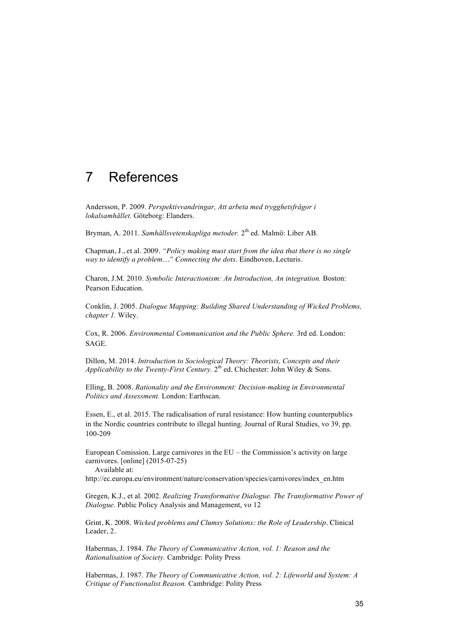## 7 References

Andersson, P. 2009. *Perspektivvandringar, Att arbeta med trygghetsfrågor i lokalsamhället.* Göteborg: Elanders.

Bryman, A. 2011. *Samhällsvetenskapliga metoder.* 2th ed. Malmö: Liber AB.

Chapman, J., et al. 2009. *"Policy making must start from the idea that there is no single way to identify a problem…" Connecting the dots.* Eindhoven, Lecturis.

Charon, J.M. 2010. *Symbolic Interactionism: An Introduction, An integration.* Boston: Pearson Education.

Conklin, J. 2005. *Dialogue Mapping: Building Shared Understanding of Wicked Problems, chapter 1.* Wiley.

Cox, R. 2006. *Environmental Communication and the Public Sphere.* 3rd ed. London: SAGE.

Dillon, M. 2014. *Introduction to Sociological Theory: Theorists, Concepts and their Applicability to the Twenty-First Century.*  $2^{th}$  ed. Chichester: John Wiley & Sons.

Elling, B. 2008. *Rationality and the Environment: Decision-making in Environmental Politics and Assessment.* London: Earthscan.

Essen, E., et al. 2015. The radicalisation of rural resistance: How hunting counterpublics in the Nordic countries contribute to illegal hunting. Journal of Rural Studies, vo 39, pp. 100-209

European Comission. Large carnivores in the EU – the Commission's activity on large carnivores. [online] (2015-07-25)

Available at:

http://ec.europa.eu/environment/nature/conservation/species/carnivores/index\_en.htm

Gregen, K.J., et al. 2002. *Realizing Transformative Dialogue. The Transformative Power of Dialogue*. Public Policy Analysis and Management, vo 12

Grint, K. 2008. *Wicked problems and Clumsy Solutions: the Role of Leadership.* Clinical Leader, 2.

Habermas, J. 1984. *The Theory of Communicative Action, vol. 1: Reason and the Rationalisation of Society.* Cambridge: Polity Press

Habermas, J. 1987. *The Theory of Communicative Action, vol. 2: Lifeworld and System: A Critique of Functionalist Reason.* Cambridge: Polity Press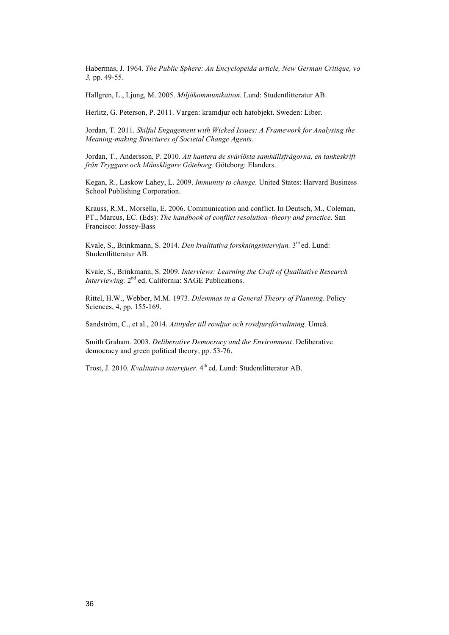Habermas, J. 1964. *The Public Sphere: An Encyclopeida article, New German Critique, vo 3,* pp. 49-55.

Hallgren, L., Ljung, M. 2005. *Miljökommunikation.* Lund: Studentlitteratur AB.

Herlitz, G. Peterson, P. 2011. Vargen: kramdjur och hatobjekt. Sweden: Liber.

Jordan, T. 2011. *Skilful Engagement with Wicked Issues: A Framework for Analysing the Meaning-making Structures of Societal Change Agents.*

Jordan, T., Andersson, P. 2010. *Att hantera de svårlösta samhällsfrågorna, en tankeskrift från Tryggare och Mänskligare Göteborg.* Göteborg: Elanders.

Kegan, R., Laskow Lahey, L. 2009. *Immunity to change.* United States: Harvard Business School Publishing Corporation.

Krauss, R.M., Morsella, E. 2006. Communication and conflict. In Deutsch, M., Coleman, PT., Marcus, EC. (Eds): *The handbook of conflict resolution–theory and practice*. San Francisco: Jossey-Bass

Kvale, S., Brinkmann, S. 2014. *Den kvalitativa forskningsintervjun*. 3<sup>th</sup> ed. Lund: Studentlitteratur AB.

Kvale, S., Brinkmann, S. 2009. *Interviews: Learning the Craft of Qualitative Research Interviewing.* 2<sup>nd</sup> ed. California: SAGE Publications.

Rittel, H.W., Webber, M.M. 1973. *Dilemmas in a General Theory of Planning*. Policy Sciences, 4, pp. 155-169.

Sandström, C., et al., 2014. *Attityder till rovdjur och rovdjursförvaltning.* Umeå.

Smith Graham. 2003. *Deliberative Democracy and the Environment*. Deliberative democracy and green political theory, pp. 53-76.

Trost, J. 2010. *Kvalitativa intervjuer.* 4th ed. Lund: Studentlitteratur AB.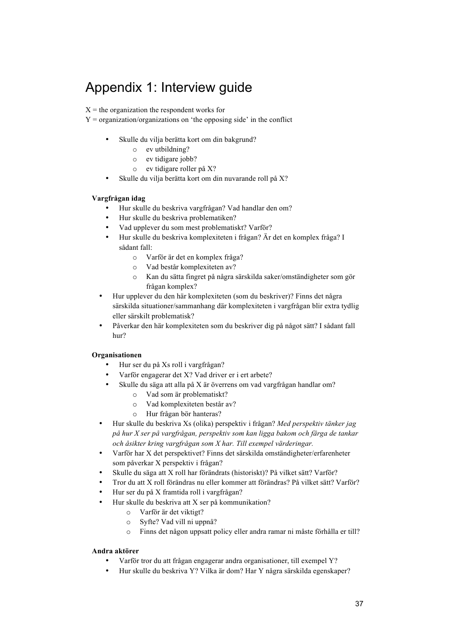# Appendix 1: Interview guide

 $X =$  the organization the respondent works for

- $Y =$  organization/organizations on 'the opposing side' in the conflict
	- Skulle du vilja berätta kort om din bakgrund?
		- o ev utbildning?
		- o ev tidigare jobb?
		- o ev tidigare roller på X?
	- Skulle du vilja berätta kort om din nuvarande roll på X?

#### **Vargfrågan idag**

- Hur skulle du beskriva vargfrågan? Vad handlar den om?
- Hur skulle du beskriva problematiken?
- Vad upplever du som mest problematiskt? Varför?
- Hur skulle du beskriva komplexiteten i frågan? Är det en komplex fråga? I sådant fall:
	- o Varför är det en komplex fråga?
	- o Vad består komplexiteten av?
	- o Kan du sätta fingret på några särskilda saker/omständigheter som gör frågan komplex?
- Hur upplever du den här komplexiteten (som du beskriver)? Finns det några särskilda situationer/sammanhang där komplexiteten i vargfrågan blir extra tydlig eller särskilt problematisk?
- Påverkar den här komplexiteten som du beskriver dig på något sätt? I sådant fall hur?

#### **Organisationen**

- Hur ser du på Xs roll i vargfrågan?
- Varför engagerar det X? Vad driver er i ert arbete?
- Skulle du säga att alla på X är överrens om vad vargfrågan handlar om?
	- o Vad som är problematiskt?
	- o Vad komplexiteten består av?
	- o Hur frågan bör hanteras?
- Hur skulle du beskriva Xs (olika) perspektiv i frågan? *Med perspektiv tänker jag på hur X ser på vargfrågan, perspektiv som kan ligga bakom och färga de tankar och åsikter kring vargfrågan som X har. Till exempel värderingar.*
- Varför har X det perspektivet? Finns det särskilda omständigheter/erfarenheter som påverkar X perspektiv i frågan?
- Skulle du säga att X roll har förändrats (historiskt)? På vilket sätt? Varför?
- Tror du att X roll förändras nu eller kommer att förändras? På vilket sätt? Varför?
- Hur ser du på X framtida roll i vargfrågan?
- Hur skulle du beskriva att X ser på kommunikation?
	- o Varför är det viktigt?
	- o Syfte? Vad vill ni uppnå?
	- o Finns det någon uppsatt policy eller andra ramar ni måste förhålla er till?

#### **Andra aktörer**

- Varför tror du att frågan engagerar andra organisationer, till exempel Y?
- Hur skulle du beskriva Y? Vilka är dom? Har Y några särskilda egenskaper?